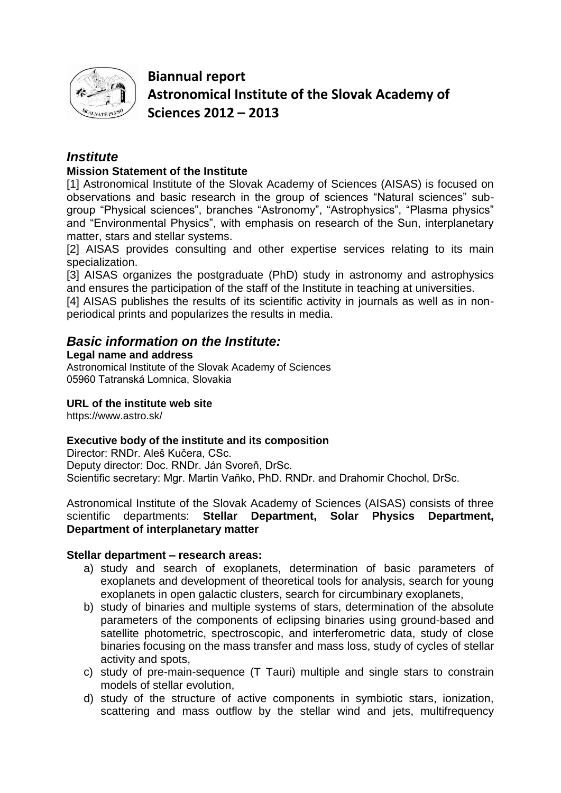

**Biannual report Astronomical Institute of the Slovak Academy of Sciences 2012 – 2013**

## *Institute*

## **Mission Statement of the Institute**

[1] Astronomical Institute of the Slovak Academy of Sciences (AISAS) is focused on observations and basic research in the group of sciences "Natural sciences" subgroup "Physical sciences", branches "Astronomy", "Astrophysics", "Plasma physics" and "Environmental Physics", with emphasis on research of the Sun, interplanetary matter, stars and stellar systems.

[2] AISAS provides consulting and other expertise services relating to its main specialization.

[3] AISAS organizes the postgraduate (PhD) study in astronomy and astrophysics and ensures the participation of the staff of the Institute in teaching at universities.

[4] AISAS publishes the results of its scientific activity in journals as well as in nonperiodical prints and popularizes the results in media.

## *Basic information on the Institute:*

#### **Legal name and address**

Astronomical Institute of the Slovak Academy of Sciences 05960 Tatranská Lomnica, Slovakia

## **URL of the institute web site**

https://www.astro.sk/

## **Executive body of the institute and its composition**

Director: RNDr. Aleš Kučera, CSc. Deputy director: Doc. RNDr. Ján Svoreň, DrSc. Scientific secretary: Mgr. Martin Vaňko, PhD. RNDr. and Drahomir Chochol, DrSc.

Astronomical Institute of the Slovak Academy of Sciences (AISAS) consists of three scientific departments: **Stellar Department, Solar Physics Department, Department of interplanetary matter**

## **Stellar department – research areas:**

- a) study and search of exoplanets, determination of basic parameters of exoplanets and development of theoretical tools for analysis, search for young exoplanets in open galactic clusters, search for circumbinary exoplanets,
- b) study of binaries and multiple systems of stars, determination of the absolute parameters of the components of eclipsing binaries using ground-based and satellite photometric, spectroscopic, and interferometric data, study of close binaries focusing on the mass transfer and mass loss, study of cycles of stellar activity and spots,
- c) study of pre-main-sequence (T Tauri) multiple and single stars to constrain models of stellar evolution,
- d) study of the structure of active components in symbiotic stars, ionization, scattering and mass outflow by the stellar wind and jets, multifrequency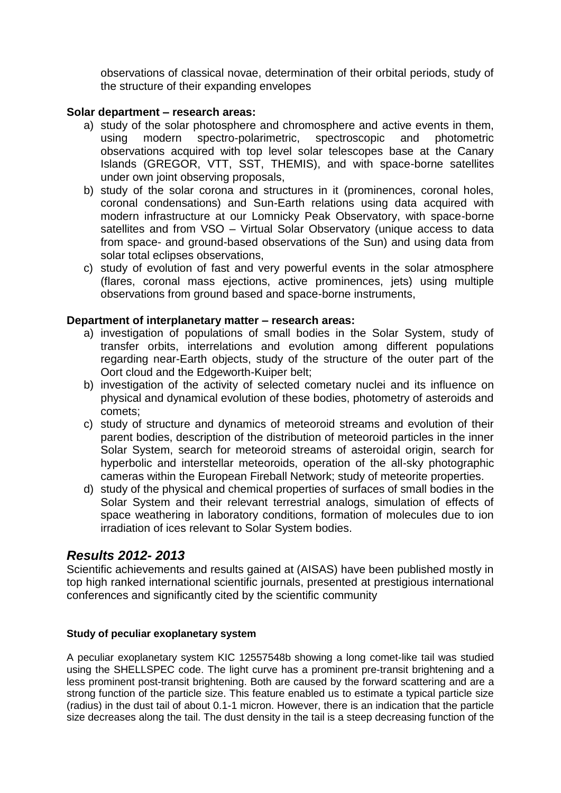observations of classical novae, determination of their orbital periods, study of the structure of their expanding envelopes

## **Solar department – research areas:**

- a) study of the solar photosphere and chromosphere and active events in them, using modern spectro-polarimetric, spectroscopic and photometric observations acquired with top level solar telescopes base at the Canary Islands (GREGOR, VTT, SST, THEMIS), and with space-borne satellites under own joint observing proposals,
- b) study of the solar corona and structures in it (prominences, coronal holes, coronal condensations) and Sun-Earth relations using data acquired with modern infrastructure at our Lomnicky Peak Observatory, with space-borne satellites and from VSO – Virtual Solar Observatory (unique access to data from space- and ground-based observations of the Sun) and using data from solar total eclipses observations,
- c) study of evolution of fast and very powerful events in the solar atmosphere (flares, coronal mass ejections, active prominences, jets) using multiple observations from ground based and space-borne instruments,

#### **Department of interplanetary matter – research areas:**

- a) investigation of populations of small bodies in the Solar System, study of transfer orbits, interrelations and evolution among different populations regarding near-Earth objects, study of the structure of the outer part of the Oort cloud and the Edgeworth-Kuiper belt;
- b) investigation of the activity of selected cometary nuclei and its influence on physical and dynamical evolution of these bodies, photometry of asteroids and comets;
- c) study of structure and dynamics of meteoroid streams and evolution of their parent bodies, description of the distribution of meteoroid particles in the inner Solar System, search for meteoroid streams of asteroidal origin, search for hyperbolic and interstellar meteoroids, operation of the all-sky photographic cameras within the European Fireball Network; study of meteorite properties.
- d) study of the physical and chemical properties of surfaces of small bodies in the Solar System and their relevant terrestrial analogs, simulation of effects of space weathering in laboratory conditions, formation of molecules due to ion irradiation of ices relevant to Solar System bodies.

## *Results 2012- 2013*

Scientific achievements and results gained at (AISAS) have been published mostly in top high ranked international scientific journals, presented at prestigious international conferences and significantly cited by the scientific community

#### **Study of peculiar exoplanetary system**

A peculiar exoplanetary system KIC 12557548b showing a long comet-like tail was studied using the SHELLSPEC code. The light curve has a prominent pre-transit brightening and a less prominent post-transit brightening. Both are caused by the forward scattering and are a strong function of the particle size. This feature enabled us to estimate a typical particle size (radius) in the dust tail of about 0.1-1 micron. However, there is an indication that the particle size decreases along the tail. The dust density in the tail is a steep decreasing function of the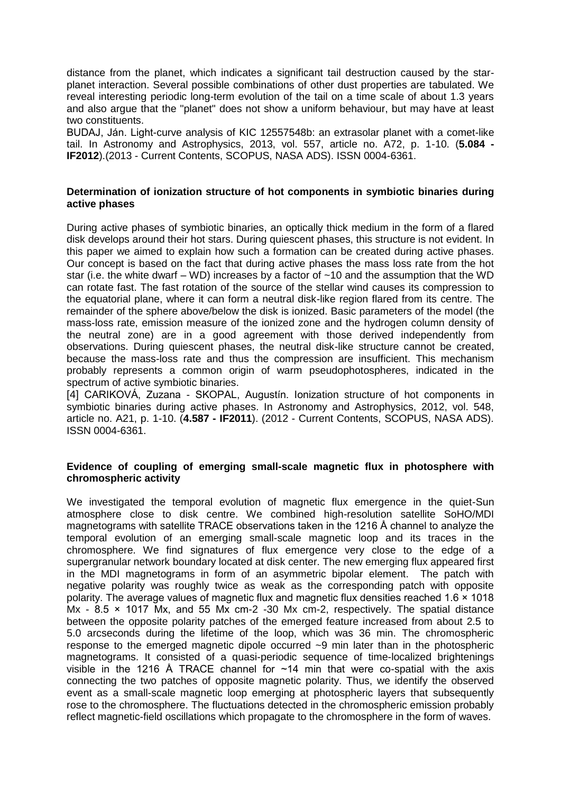distance from the planet, which indicates a significant tail destruction caused by the starplanet interaction. Several possible combinations of other dust properties are tabulated. We reveal interesting periodic long-term evolution of the tail on a time scale of about 1.3 years and also argue that the "planet" does not show a uniform behaviour, but may have at least two constituents.

BUDAJ, Ján. Light-curve analysis of KIC 12557548b: an extrasolar planet with a comet-like tail. In Astronomy and Astrophysics, 2013, vol. 557, article no. A72, p. 1-10. (**5.084 - IF2012**).(2013 - Current Contents, SCOPUS, NASA ADS). ISSN 0004-6361.

#### **Determination of ionization structure of hot components in symbiotic binaries during active phases**

During active phases of symbiotic binaries, an optically thick medium in the form of a flared disk develops around their hot stars. During quiescent phases, this structure is not evident. In this paper we aimed to explain how such a formation can be created during active phases. Our concept is based on the fact that during active phases the mass loss rate from the hot star (i.e. the white dwarf – WD) increases by a factor of  $~10$  and the assumption that the WD can rotate fast. The fast rotation of the source of the stellar wind causes its compression to the equatorial plane, where it can form a neutral disk-like region flared from its centre. The remainder of the sphere above/below the disk is ionized. Basic parameters of the model (the mass-loss rate, emission measure of the ionized zone and the hydrogen column density of the neutral zone) are in a good agreement with those derived independently from observations. During quiescent phases, the neutral disk-like structure cannot be created, because the mass-loss rate and thus the compression are insufficient. This mechanism probably represents a common origin of warm pseudophotospheres, indicated in the spectrum of active symbiotic binaries.

[4] CARIKOVÁ, Zuzana - SKOPAL, Augustín. Ionization structure of hot components in symbiotic binaries during active phases. In Astronomy and Astrophysics, 2012, vol. 548, article no. A21, p. 1-10. (**4.587 - IF2011**). (2012 - Current Contents, SCOPUS, NASA ADS). ISSN 0004-6361.

#### **Evidence of coupling of emerging small-scale magnetic flux in photosphere with chromospheric activity**

We investigated the temporal evolution of magnetic flux emergence in the quiet-Sun atmosphere close to disk centre. We combined high-resolution satellite SoHO/MDI magnetograms with satellite TRACE observations taken in the 1216 Å channel to analyze the temporal evolution of an emerging small-scale magnetic loop and its traces in the chromosphere. We find signatures of flux emergence very close to the edge of a supergranular network boundary located at disk center. The new emerging flux appeared first in the MDI magnetograms in form of an asymmetric bipolar element. The patch with negative polarity was roughly twice as weak as the corresponding patch with opposite polarity. The average values of magnetic flux and magnetic flux densities reached 1.6 × 1018 Mx -  $8.5 \times 1017$  Mx, and 55 Mx cm-2 -30 Mx cm-2, respectively. The spatial distance between the opposite polarity patches of the emerged feature increased from about 2.5 to 5.0 arcseconds during the lifetime of the loop, which was 36 min. The chromospheric response to the emerged magnetic dipole occurred ~9 min later than in the photospheric magnetograms. It consisted of a quasi-periodic sequence of time-localized brightenings visible in the 1216 Å TRACE channel for  $\sim$ 14 min that were co-spatial with the axis connecting the two patches of opposite magnetic polarity. Thus, we identify the observed event as a small-scale magnetic loop emerging at photospheric layers that subsequently rose to the chromosphere. The fluctuations detected in the chromospheric emission probably reflect magnetic-field oscillations which propagate to the chromosphere in the form of waves.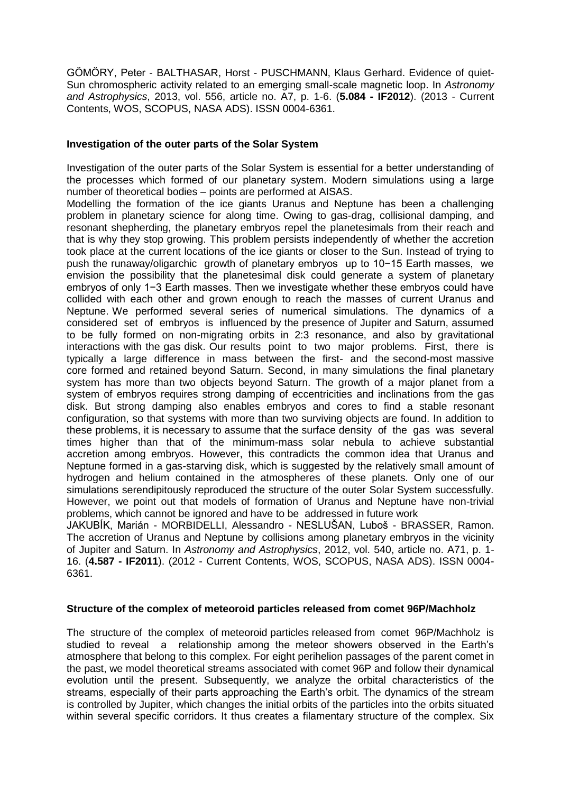GÖMÖRY, Peter - BALTHASAR, Horst - PUSCHMANN, Klaus Gerhard. Evidence of quiet-Sun chromospheric activity related to an emerging small-scale magnetic loop. In *Astronomy and Astrophysics*, 2013, vol. 556, article no. A7, p. 1-6. (**5.084 - IF2012**). (2013 - Current Contents, WOS, SCOPUS, NASA ADS). ISSN 0004-6361.

#### **Investigation of the outer parts of the Solar System**

Investigation of the outer parts of the Solar System is essential for a better understanding of the processes which formed of our planetary system. Modern simulations using a large number of theoretical bodies – points are performed at AISAS.

Modelling the formation of the ice giants Uranus and Neptune has been a challenging problem in planetary science for along time. Owing to gas-drag, collisional damping, and resonant shepherding, the planetary embryos repel the planetesimals from their reach and that is why they stop growing. This problem persists independently of whether the accretion took place at the current locations of the ice giants or closer to the Sun. Instead of trying to push the runaway/oligarchic growth of planetary embryos up to 10−15 Earth masses, we envision the possibility that the planetesimal disk could generate a system of planetary embryos of only 1−3 Earth masses. Then we investigate whether these embryos could have collided with each other and grown enough to reach the masses of current Uranus and Neptune. We performed several series of numerical simulations. The dynamics of a considered set of embryos is influenced by the presence of Jupiter and Saturn, assumed to be fully formed on non-migrating orbits in 2:3 resonance, and also by gravitational interactions with the gas disk. Our results point to two major problems. First, there is typically a large difference in mass between the first- and the second-most massive core formed and retained beyond Saturn. Second, in many simulations the final planetary system has more than two objects beyond Saturn. The growth of a major planet from a system of embryos requires strong damping of eccentricities and inclinations from the gas disk. But strong damping also enables embryos and cores to find a stable resonant configuration, so that systems with more than two surviving objects are found. In addition to these problems, it is necessary to assume that the surface density of the gas was several times higher than that of the minimum-mass solar nebula to achieve substantial accretion among embryos. However, this contradicts the common idea that Uranus and Neptune formed in a gas-starving disk, which is suggested by the relatively small amount of hydrogen and helium contained in the atmospheres of these planets. Only one of our simulations serendipitously reproduced the structure of the outer Solar System successfully. However, we point out that models of formation of Uranus and Neptune have non-trivial problems, which cannot be ignored and have to be addressed in future work

JAKUBÍK, Marián - MORBIDELLI, Alessandro - NESLUŠAN, Luboš - BRASSER, Ramon. The accretion of Uranus and Neptune by collisions among planetary embryos in the vicinity of Jupiter and Saturn. In *Astronomy and Astrophysics*, 2012, vol. 540, article no. A71, p. 1- 16. (**4.587 - IF2011**). (2012 - Current Contents, WOS, SCOPUS, NASA ADS). ISSN 0004- 6361.

#### **Structure of the complex of meteoroid particles released from comet 96P/Machholz**

The structure of the complex of meteoroid particles released from comet 96P/Machholz is studied to reveal a relationship among the meteor showers observed in the Earth's atmosphere that belong to this complex. For eight perihelion passages of the parent comet in the past, we model theoretical streams associated with comet 96P and follow their dynamical evolution until the present. Subsequently, we analyze the orbital characteristics of the streams, especially of their parts approaching the Earth's orbit. The dynamics of the stream is controlled by Jupiter, which changes the initial orbits of the particles into the orbits situated within several specific corridors. It thus creates a filamentary structure of the complex. Six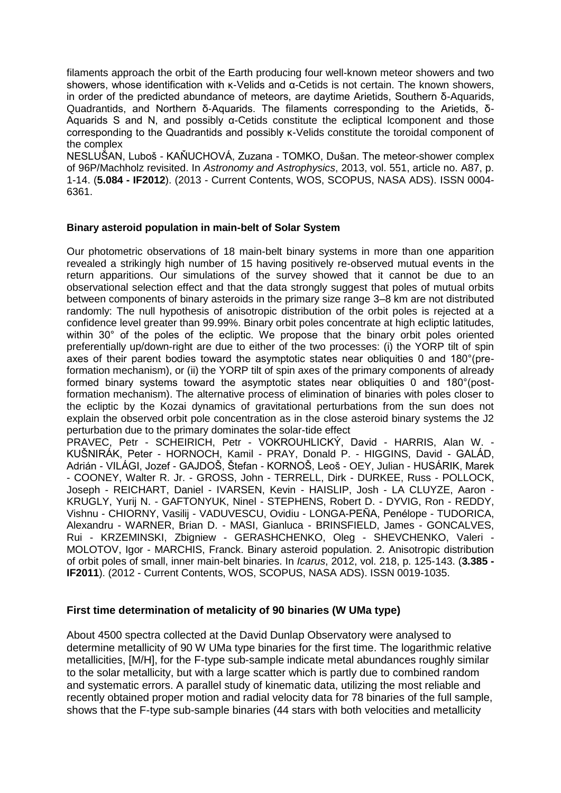filaments approach the orbit of the Earth producing four well-known meteor showers and two showers, whose identification with κ-Velids and α-Cetids is not certain. The known showers, in order of the predicted abundance of meteors, are daytime Arietids, Southern δ-Aquarids, Quadrantids, and Northern δ-Aquarids. The filaments corresponding to the Arietids, δ-Aquarids S and N, and possibly  $α$ -Cetids constitute the ecliptical lcomponent and those corresponding to the Quadrantids and possibly κ-Velids constitute the toroidal component of the complex

NESLUŠAN, Luboš - KAŇUCHOVÁ, Zuzana - TOMKO, Dušan. The meteor-shower complex of 96P/Machholz revisited. In *Astronomy and Astrophysics*, 2013, vol. 551, article no. A87, p. 1-14. (**5.084 - IF2012**). (2013 - Current Contents, WOS, SCOPUS, NASA ADS). ISSN 0004- 6361.

#### **Binary asteroid population in main-belt of Solar System**

Our photometric observations of 18 main-belt binary systems in more than one apparition revealed a strikingly high number of 15 having positively re-observed mutual events in the return apparitions. Our simulations of the survey showed that it cannot be due to an observational selection effect and that the data strongly suggest that poles of mutual orbits between components of binary asteroids in the primary size range 3–8 km are not distributed randomly: The null hypothesis of anisotropic distribution of the orbit poles is rejected at a confidence level greater than 99.99%. Binary orbit poles concentrate at high ecliptic latitudes, within 30° of the poles of the ecliptic. We propose that the binary orbit poles oriented preferentially up/down-right are due to either of the two processes: (i) the YORP tilt of spin axes of their parent bodies toward the asymptotic states near obliquities 0 and 180°(preformation mechanism), or (ii) the YORP tilt of spin axes of the primary components of already formed binary systems toward the asymptotic states near obliquities 0 and 180°(postformation mechanism). The alternative process of elimination of binaries with poles closer to the ecliptic by the Kozai dynamics of gravitational perturbations from the sun does not explain the observed orbit pole concentration as in the close asteroid binary systems the J2 perturbation due to the primary dominates the solar-tide effect

PRAVEC, Petr - SCHEIRICH, Petr - VOKROUHLICKÝ, David - HARRIS, Alan W. - KUŠNIRÁK, Peter - HORNOCH, Kamil - PRAY, Donald P. - HIGGINS, David - GALÁD, Adrián - VILÁGI, Jozef - GAJDOŠ, Štefan - KORNOŠ, Leoš - OEY, Julian - HUSÁRIK, Marek - COONEY, Walter R. Jr. - GROSS, John - TERRELL, Dirk - DURKEE, Russ - POLLOCK, Joseph - REICHART, Daniel - IVARSEN, Kevin - HAISLIP, Josh - LA CLUYZE, Aaron - KRUGLY, Yurij N. - GAFTONYUK, Ninel - STEPHENS, Robert D. - DYVIG, Ron - REDDY, Vishnu - CHIORNY, Vasilij - VADUVESCU, Ovidiu - LONGA-PEÑA, Penélope - TUDORICA, Alexandru - WARNER, Brian D. - MASI, Gianluca - BRINSFIELD, James - GONCALVES, Rui - KRZEMINSKI, Zbigniew - GERASHCHENKO, Oleg - SHEVCHENKO, Valeri - MOLOTOV, Igor - MARCHIS, Franck. Binary asteroid population. 2. Anisotropic distribution of orbit poles of small, inner main-belt binaries. In *Icarus*, 2012, vol. 218, p. 125-143. (**3.385 - IF2011**). (2012 - Current Contents, WOS, SCOPUS, NASA ADS). ISSN 0019-1035.

#### **First time determination of metalicity of 90 binaries (W UMa type)**

About 4500 spectra collected at the David Dunlap Observatory were analysed to determine metallicity of 90 W UMa type binaries for the first time. The logarithmic relative metallicities, [M/H], for the F-type sub-sample indicate metal abundances roughly similar to the solar metallicity, but with a large scatter which is partly due to combined random and systematic errors. A parallel study of kinematic data, utilizing the most reliable and recently obtained proper motion and radial velocity data for 78 binaries of the full sample, shows that the F-type sub-sample binaries (44 stars with both velocities and metallicity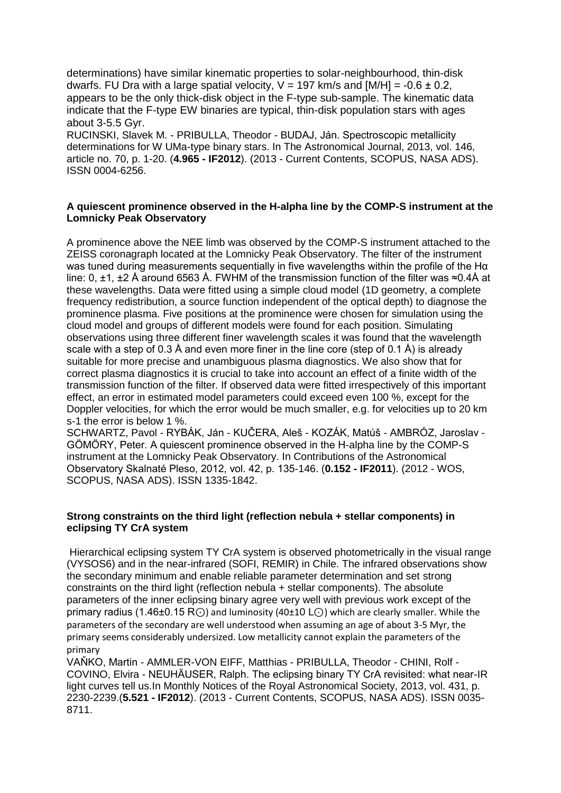determinations) have similar kinematic properties to solar-neighbourhood, thin-disk dwarfs. FU Dra with a large spatial velocity,  $V = 197$  km/s and  $[M/H] = -0.6 \pm 0.2$ , appears to be the only thick-disk object in the F-type sub-sample. The kinematic data indicate that the F-type EW binaries are typical, thin-disk population stars with ages about 3-5.5 Gyr.

RUCINSKI, Slavek M. - PRIBULLA, Theodor - BUDAJ, Ján. Spectroscopic metallicity determinations for W UMa-type binary stars. In The Astronomical Journal, 2013, vol. 146, article no. 70, p. 1-20. (**4.965 - IF2012**). (2013 - Current Contents, SCOPUS, NASA ADS). ISSN 0004-6256.

#### **A quiescent prominence observed in the H-alpha line by the COMP-S instrument at the Lomnicky Peak Observatory**

A prominence above the NEE limb was observed by the COMP-S instrument attached to the ZEISS coronagraph located at the Lomnicky Peak Observatory. The filter of the instrument was tuned during measurements sequentially in five wavelengths within the profile of the Hα line: 0, ±1, ±2 Å around 6563 Å. FWHM of the transmission function of the filter was ≈0.4Å at these wavelengths. Data were fitted using a simple cloud model (1D geometry, a complete frequency redistribution, a source function independent of the optical depth) to diagnose the prominence plasma. Five positions at the prominence were chosen for simulation using the cloud model and groups of different models were found for each position. Simulating observations using three different finer wavelength scales it was found that the wavelength scale with a step of 0.3 Å and even more finer in the line core (step of 0.1 Å) is already suitable for more precise and unambiguous plasma diagnostics. We also show that for correct plasma diagnostics it is crucial to take into account an effect of a finite width of the transmission function of the filter. If observed data were fitted irrespectively of this important effect, an error in estimated model parameters could exceed even 100 %, except for the Doppler velocities, for which the error would be much smaller, e.g. for velocities up to 20 km s-1 the error is below 1 %.

SCHWARTZ, Pavol - RYBÁK, Ján - KUČERA, Aleš - KOZÁK, Matúš - AMBRÓZ, Jaroslav - GÖMÖRY, Peter. A quiescent prominence observed in the H-alpha line by the COMP-S instrument at the Lomnicky Peak Observatory. In Contributions of the Astronomical Observatory Skalnaté Pleso, 2012, vol. 42, p. 135-146. (**0.152 - IF2011**). (2012 - WOS, SCOPUS, NASA ADS). ISSN 1335-1842.

#### **Strong constraints on the third light (reflection nebula + stellar components) in eclipsing TY CrA system**

Hierarchical eclipsing system TY CrA system is observed photometrically in the visual range (VYSOS6) and in the near-infrared (SOFI, REMIR) in Chile. The infrared observations show the secondary minimum and enable reliable parameter determination and set strong constraints on the third light (reflection nebula + stellar components). The absolute parameters of the inner eclipsing binary agree very well with previous work except of the primary radius (1.46±0.15 R⊙) and luminosity (40±10 L⊙) which are clearly smaller. While the parameters of the secondary are well understood when assuming an age of about 3-5 Myr, the primary seems considerably undersized. Low metallicity cannot explain the parameters of the primary

VAŇKO, Martin - AMMLER-VON EIFF, Matthias - PRIBULLA, Theodor - CHINI, Rolf - COVINO, Elvira - NEUHÄUSER, Ralph. The eclipsing binary TY CrA revisited: what near-IR light curves tell us.In Monthly Notices of the Royal Astronomical Society, 2013, vol. 431, p. 2230-2239.(**5.521 - IF2012**). (2013 - Current Contents, SCOPUS, NASA ADS). ISSN 0035- 8711.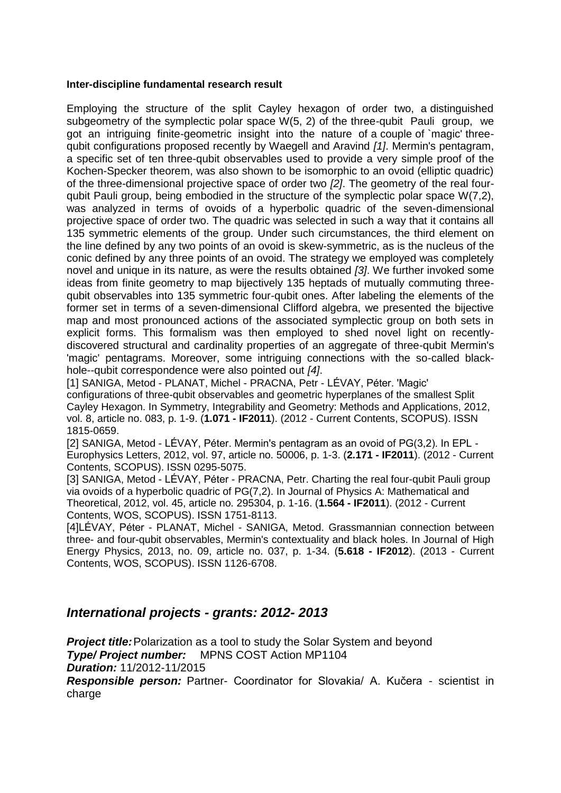#### **Inter-discipline fundamental research result**

Employing the structure of the split Cayley hexagon of order two, a distinguished subgeometry of the symplectic polar space W(5, 2) of the three-qubit Pauli group, we got an intriguing finite-geometric insight into the nature of a couple of `magic' threequbit configurations proposed recently by Waegell and Aravind *[1]*. Mermin's pentagram, a specific set of ten three-qubit observables used to provide a very simple proof of the Kochen-Specker theorem, was also shown to be isomorphic to an ovoid (elliptic quadric) of the three-dimensional projective space of order two *[2]*. The geometry of the real fourqubit Pauli group, being embodied in the structure of the symplectic polar space W(7,2), was analyzed in terms of ovoids of a hyperbolic quadric of the seven-dimensional projective space of order two. The quadric was selected in such a way that it contains all 135 symmetric elements of the group. Under such circumstances, the third element on the line defined by any two points of an ovoid is skew-symmetric, as is the nucleus of the conic defined by any three points of an ovoid. The strategy we employed was completely novel and unique in its nature, as were the results obtained *[3]*. We further invoked some ideas from finite geometry to map bijectively 135 heptads of mutually commuting threequbit observables into 135 symmetric four-qubit ones. After labeling the elements of the former set in terms of a seven-dimensional Clifford algebra, we presented the bijective map and most pronounced actions of the associated symplectic group on both sets in explicit forms. This formalism was then employed to shed novel light on recentlydiscovered structural and cardinality properties of an aggregate of three-qubit Mermin's 'magic' pentagrams. Moreover, some intriguing connections with the so-called blackhole--qubit correspondence were also pointed out *[4]*.

[1] SANIGA, Metod - PLANAT, Michel - PRACNA, Petr - LÉVAY, Péter. 'Magic' configurations of three-qubit observables and geometric hyperplanes of the smallest Split Cayley Hexagon. In Symmetry, Integrability and Geometry: Methods and Applications, 2012, vol. 8, article no. 083, p. 1-9. (**1.071 - IF2011**). (2012 - Current Contents, SCOPUS). ISSN 1815-0659.

[2] SANIGA, Metod - LÉVAY, Péter. Mermin's pentagram as an ovoid of PG(3,2). In EPL - Europhysics Letters, 2012, vol. 97, article no. 50006, p. 1-3. (**2.171 - IF2011**). (2012 - Current Contents, SCOPUS). ISSN 0295-5075.

[3] SANIGA, Metod - LÉVAY, Péter - PRACNA, Petr. Charting the real four-qubit Pauli group via ovoids of a hyperbolic quadric of PG(7,2). In Journal of Physics A: Mathematical and Theoretical, 2012, vol. 45, article no. 295304, p. 1-16. (**1.564 - IF2011**). (2012 - Current Contents, WOS, SCOPUS). ISSN 1751-8113.

[4]LÉVAY, Péter - PLANAT, Michel - SANIGA, Metod. Grassmannian connection between three- and four-qubit observables, Mermin's contextuality and black holes. In Journal of High Energy Physics, 2013, no. 09, article no. 037, p. 1-34. (**5.618 - IF2012**). (2013 - Current Contents, WOS, SCOPUS). ISSN 1126-6708.

## *International projects - grants: 2012- 2013*

**Project title:** Polarization as a tool to study the Solar System and beyond *Type/ Project number:* MPNS COST Action MP1104 *Duration:* 11/2012-11/2015

*Responsible person:* Partner- Coordinator for Slovakia/ A. Kučera - scientist in charge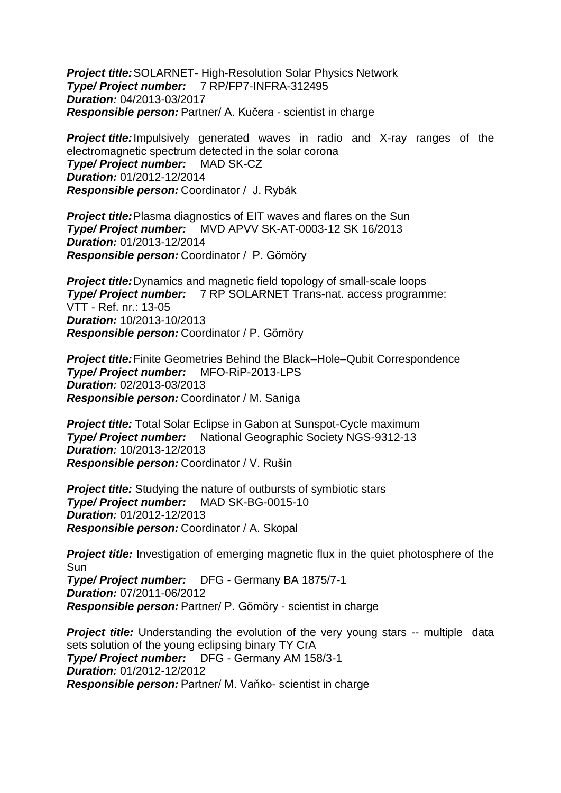*Project title:*SOLARNET- High-Resolution Solar Physics Network *Type/ Project number:* 7 RP/FP7-INFRA-312495 *Duration:* 04/2013-03/2017 *Responsible person:* Partner/ A. Kučera - scientist in charge

*Project title:*Impulsively generated waves in radio and X-ray ranges of the electromagnetic spectrum detected in the solar corona *Type/ Project number:* MAD SK-CZ *Duration:* 01/2012-12/2014 *Responsible person:* Coordinator / J. Rybák

**Project title:** Plasma diagnostics of EIT waves and flares on the Sun *Type/ Project number:* MVD APVV SK-AT-0003-12 SK 16/2013 *Duration:* 01/2013-12/2014 *Responsible person:* Coordinator / P. Gömöry

**Project title:** Dynamics and magnetic field topology of small-scale loops *Type/ Project number:* 7 RP SOLARNET Trans-nat. access programme: VTT - Ref. nr.: 13-05 *Duration:* 10/2013-10/2013 *Responsible person:* Coordinator / P. Gömöry

*Project title:*Finite Geometries Behind the Black–Hole–Qubit Correspondence *Type/ Project number:* MFO-RiP-2013-LPS *Duration:* 02/2013-03/2013 *Responsible person:* Coordinator / M. Saniga

*Project title:* Total Solar Eclipse in Gabon at Sunspot-Cycle maximum *Type/ Project number:* National Geographic Society NGS-9312-13 *Duration:* 10/2013-12/2013 *Responsible person:* Coordinator / V. Rušin

**Project title:** Studying the nature of outbursts of symbiotic stars *Type/ Project number:* MAD SK-BG-0015-10 *Duration:* 01/2012-12/2013 *Responsible person:* Coordinator / A. Skopal

**Project title:** Investigation of emerging magnetic flux in the quiet photosphere of the Sun *Type/ Project number:* DFG - Germany BA 1875/7-1 *Duration:* 07/2011-06/2012 *Responsible person:* Partner/ P. Gömöry - scientist in charge

**Project title:** Understanding the evolution of the very young stars -- multiple data sets solution of the young eclipsing binary TY CrA *Type/ Project number:* DFG - Germany AM 158/3-1 *Duration:* 01/2012-12/2012 *Responsible person:* Partner/ M. Vaňko- scientist in charge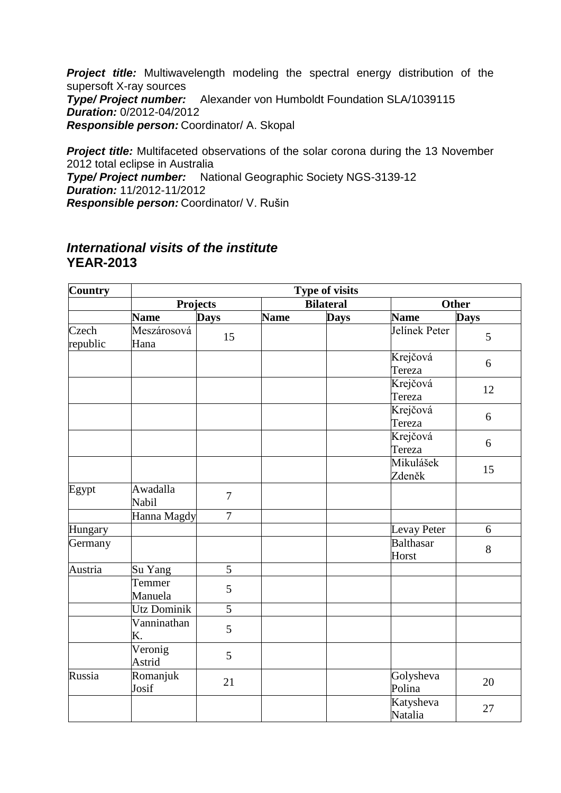**Project title:** Multiwavelength modeling the spectral energy distribution of the supersoft X-ray sources *Type/ Project number:* Alexander von Humboldt Foundation SLA/1039115 *Duration:* 0/2012-04/2012 *Responsible person:* Coordinator/ A. Skopal

**Project title:** Multifaceted observations of the solar corona during the 13 November 2012 total eclipse in Australia *Type/ Project number:* National Geographic Society NGS-3139-12 *Duration:* 11/2012-11/2012 *Responsible person:* Coordinator/ V. Rušin

## *International visits of the institute* **YEAR-2013**

| <b>Country</b>    | Type of visits      |                  |                  |             |                           |             |  |
|-------------------|---------------------|------------------|------------------|-------------|---------------------------|-------------|--|
|                   | <b>Projects</b>     |                  | <b>Bilateral</b> |             | <b>Other</b>              |             |  |
|                   | <b>Name</b>         | <b>Days</b>      | <b>Name</b>      | <b>Days</b> | <b>Name</b>               | <b>Days</b> |  |
| Czech<br>republic | Meszárosová<br>Hana | 15               |                  |             | Jelínek Peter             | 5           |  |
|                   |                     |                  |                  |             | Krejčová<br>Tereza        | 6           |  |
|                   |                     |                  |                  |             | Krejčová<br>Tereza        | 12          |  |
|                   |                     |                  |                  |             | Krejčová<br>Tereza        | 6           |  |
|                   |                     |                  |                  |             | Krejčová<br>Tereza        | 6           |  |
|                   |                     |                  |                  |             | Mikulášek<br>Zdeněk       | 15          |  |
| Egypt             | Awadalla<br>Nabil   | $\overline{7}$   |                  |             |                           |             |  |
|                   | Hanna Magdy         | $\boldsymbol{7}$ |                  |             |                           |             |  |
| Hungary           |                     |                  |                  |             | Levay Peter               | 6           |  |
| Germany           |                     |                  |                  |             | <b>Balthasar</b><br>Horst | 8           |  |
| Austria           | Su Yang             | 5                |                  |             |                           |             |  |
|                   | Temmer<br>Manuela   | 5                |                  |             |                           |             |  |
|                   | Utz Dominik         | 5                |                  |             |                           |             |  |
|                   | Vanninathan<br>K.   | 5                |                  |             |                           |             |  |
|                   | Veronig<br>Astrid   | 5                |                  |             |                           |             |  |
| Russia            | Romanjuk<br>Josif   | 21               |                  |             | Golysheva<br>Polina       | 20          |  |
|                   |                     |                  |                  |             | Katysheva<br>Natalia      | 27          |  |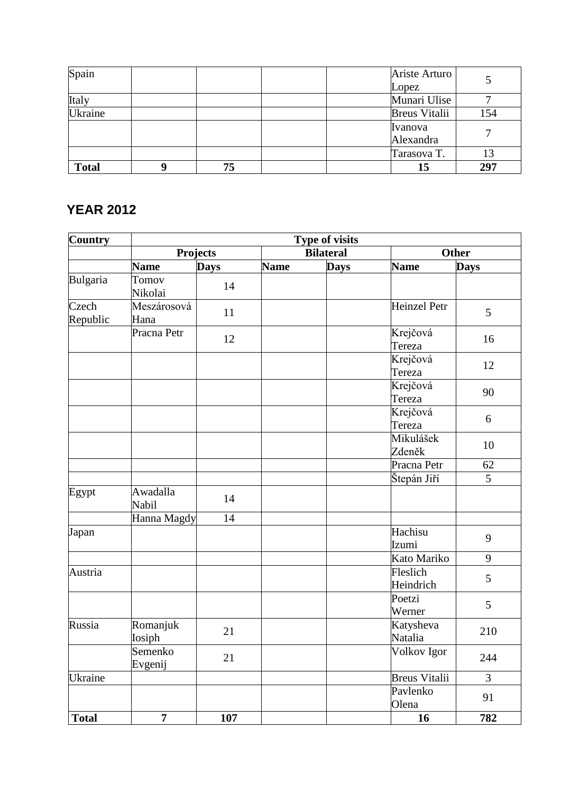| Spain        |    |  | Ariste Arturo        |     |
|--------------|----|--|----------------------|-----|
|              |    |  | Lopez                |     |
| Italy        |    |  | Munari Ulise         |     |
| Ukraine      |    |  | <b>Breus Vitalii</b> | 154 |
|              |    |  | Ivanova              |     |
|              |    |  | Alexandra            |     |
|              |    |  | Tarasova T.          | 13  |
| <b>Total</b> | 75 |  | 15                   | 297 |

# **YEAR 2012**

| Country           | <b>Type of visits</b>    |             |             |                  |                       |                |  |
|-------------------|--------------------------|-------------|-------------|------------------|-----------------------|----------------|--|
|                   | <b>Projects</b>          |             |             | <b>Bilateral</b> |                       | <b>Other</b>   |  |
|                   | <b>Name</b>              | <b>Days</b> | <b>Name</b> | <b>Days</b>      | <b>Name</b>           | <b>Days</b>    |  |
| Bulgaria          | Tomov<br>Nikolai         | 14          |             |                  |                       |                |  |
| Czech<br>Republic | Meszárosová<br>Hana      | 11          |             |                  | <b>Heinzel Petr</b>   | 5              |  |
|                   | Pracna Petr              | 12          |             |                  | Krejčová<br>Tereza    | 16             |  |
|                   |                          |             |             |                  | Krejčová<br>Tereza    | 12             |  |
|                   |                          |             |             |                  | Krejčová<br>Tereza    | 90             |  |
|                   |                          |             |             |                  | Krejčová<br>Tereza    | 6              |  |
|                   |                          |             |             |                  | Mikulášek<br>Zdeněk   | 10             |  |
|                   |                          |             |             |                  | Pracna Petr           | 62             |  |
|                   |                          |             |             |                  | Štepán Jiří           | $\overline{5}$ |  |
| Egypt             | Awadalla<br><b>Nabil</b> | 14          |             |                  |                       |                |  |
|                   | Hanna Magdy              | 14          |             |                  |                       |                |  |
| Japan             |                          |             |             |                  | Hachisu<br>Izumi      | 9              |  |
|                   |                          |             |             |                  | Kato Mariko           | 9              |  |
| Austria           |                          |             |             |                  | Fleslich<br>Heindrich | 5              |  |
|                   |                          |             |             |                  | Poetzi<br>Werner      | 5              |  |
| Russia            | Romanjuk<br>Iosiph       | 21          |             |                  | Katysheva<br>Natalia  | 210            |  |
|                   | Semenko<br>Evgenij       | 21          |             |                  | Volkov Igor           | 244            |  |
| Ukraine           |                          |             |             |                  | <b>Breus Vitalii</b>  | 3              |  |
|                   |                          |             |             |                  | Pavlenko<br>Olena     | 91             |  |
| <b>Total</b>      | $\overline{7}$           | 107         |             |                  | 16                    | 782            |  |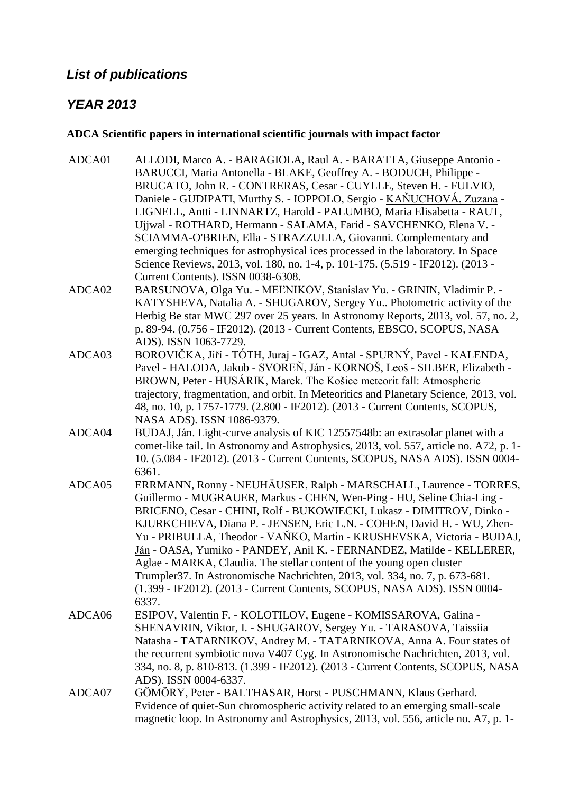## *List of publications*

## *YEAR 2013*

#### **ADCA Scientific papers in international scientific journals with impact factor**

- ADCA01 ALLODI, Marco A. BARAGIOLA, Raul A. BARATTA, Giuseppe Antonio BARUCCI, Maria Antonella - BLAKE, Geoffrey A. - BODUCH, Philippe - BRUCATO, John R. - CONTRERAS, Cesar - CUYLLE, Steven H. - FULVIO, Daniele - GUDIPATI, Murthy S. - IOPPOLO, Sergio - KAŇUCHOVÁ, Zuzana -LIGNELL, Antti - LINNARTZ, Harold - PALUMBO, Maria Elisabetta - RAUT, Ujjwal - ROTHARD, Hermann - SALAMA, Farid - SAVCHENKO, Elena V. - SCIAMMA-O'BRIEN, Ella - STRAZZULLA, Giovanni. Complementary and emerging techniques for astrophysical ices processed in the laboratory. In Space Science Reviews, 2013, vol. 180, no. 1-4, p. 101-175. (5.519 - IF2012). (2013 - Current Contents). ISSN 0038-6308.
- ADCA02 BARSUNOVA, Olga Yu. MEĽNIKOV, Stanislav Yu. GRININ, Vladimir P. KATYSHEVA, Natalia A. - SHUGAROV, Sergey Yu.. Photometric activity of the Herbig Be star MWC 297 over 25 years. In Astronomy Reports, 2013, vol. 57, no. 2, p. 89-94. (0.756 - IF2012). (2013 - Current Contents, EBSCO, SCOPUS, NASA ADS). ISSN 1063-7729.
- ADCA03 BOROVIČKA, Jiří TÓTH, Juraj IGAZ, Antal SPURNÝ, Pavel KALENDA, Pavel - HALODA, Jakub - SVOREŇ, Ján - KORNOŠ, Leoš - SILBER, Elizabeth - BROWN, Peter - HUSÁRIK, Marek. The Košice meteorit fall: Atmospheric trajectory, fragmentation, and orbit. In Meteoritics and Planetary Science, 2013, vol. 48, no. 10, p. 1757-1779. (2.800 - IF2012). (2013 - Current Contents, SCOPUS, NASA ADS). ISSN 1086-9379.
- ADCA04 BUDAJ, Ján. Light-curve analysis of KIC 12557548b: an extrasolar planet with a comet-like tail. In Astronomy and Astrophysics, 2013, vol. 557, article no. A72, p. 1- 10. (5.084 - IF2012). (2013 - Current Contents, SCOPUS, NASA ADS). ISSN 0004- 6361.
- ADCA05 ERRMANN, Ronny NEUHÄUSER, Ralph MARSCHALL, Laurence TORRES, Guillermo - MUGRAUER, Markus - CHEN, Wen-Ping - HU, Seline Chia-Ling - BRICENO, Cesar - CHINI, Rolf - BUKOWIECKI, Lukasz - DIMITROV, Dinko - KJURKCHIEVA, Diana P. - JENSEN, Eric L.N. - COHEN, David H. - WU, Zhen-Yu - PRIBULLA, Theodor - VAŇKO, Martin - KRUSHEVSKA, Victoria - BUDAJ, Ján - OASA, Yumiko - PANDEY, Anil K. - FERNANDEZ, Matilde - KELLERER, Aglae - MARKA, Claudia. The stellar content of the young open cluster Trumpler37. In Astronomische Nachrichten, 2013, vol. 334, no. 7, p. 673-681. (1.399 - IF2012). (2013 - Current Contents, SCOPUS, NASA ADS). ISSN 0004- 6337.
- ADCA06 ESIPOV, Valentin F. KOLOTILOV, Eugene KOMISSAROVA, Galina SHENAVRIN, Viktor, I. - SHUGAROV, Sergey Yu. - TARASOVA, Taissiia Natasha - TATARNIKOV, Andrey M. - TATARNIKOVA, Anna A. Four states of the recurrent symbiotic nova V407 Cyg. In Astronomische Nachrichten, 2013, vol. 334, no. 8, p. 810-813. (1.399 - IF2012). (2013 - Current Contents, SCOPUS, NASA ADS). ISSN 0004-6337.
- ADCA07 GÖMÖRY, Peter BALTHASAR, Horst PUSCHMANN, Klaus Gerhard. Evidence of quiet-Sun chromospheric activity related to an emerging small-scale magnetic loop. In Astronomy and Astrophysics, 2013, vol. 556, article no. A7, p. 1-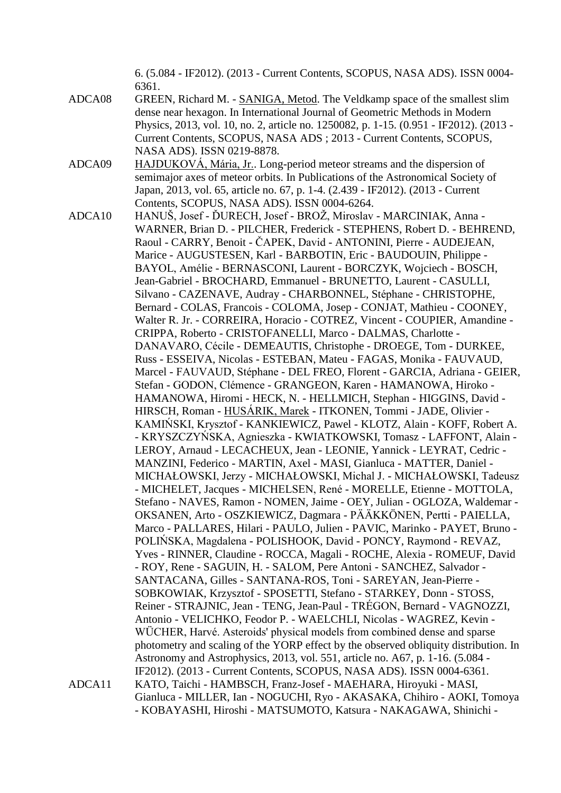6. (5.084 - IF2012). (2013 - Current Contents, SCOPUS, NASA ADS). ISSN 0004- 6361.

- ADCA08 GREEN, Richard M. SANIGA, Metod. The Veldkamp space of the smallest slim dense near hexagon. In International Journal of Geometric Methods in Modern Physics, 2013, vol. 10, no. 2, article no. 1250082, p. 1-15. (0.951 - IF2012). (2013 - Current Contents, SCOPUS, NASA ADS ; 2013 - Current Contents, SCOPUS, NASA ADS). ISSN 0219-8878.
- ADCA09 HAJDUKOVÁ, Mária, Jr.. Long-period meteor streams and the dispersion of semimajor axes of meteor orbits. In Publications of the Astronomical Society of Japan, 2013, vol. 65, article no. 67, p. 1-4. (2.439 - IF2012). (2013 - Current Contents, SCOPUS, NASA ADS). ISSN 0004-6264.
- ADCA10 HANUŠ, Josef ĎURECH, Josef BROŽ, Miroslav MARCINIAK, Anna -WARNER, Brian D. - PILCHER, Frederick - STEPHENS, Robert D. - BEHREND, Raoul - CARRY, Benoit - ČAPEK, David - ANTONINI, Pierre - AUDEJEAN, Marice - AUGUSTESEN, Karl - BARBOTIN, Eric - BAUDOUIN, Philippe - BAYOL, Amélie - BERNASCONI, Laurent - BORCZYK, Wojciech - BOSCH, Jean-Gabriel - BROCHARD, Emmanuel - BRUNETTO, Laurent - CASULLI, Silvano - CAZENAVE, Audray - CHARBONNEL, Stéphane - CHRISTOPHE, Bernard - COLAS, Francois - COLOMA, Josep - CONJAT, Mathieu - COONEY, Walter R. Jr. - CORREIRA, Horacio - COTREZ, Vincent - COUPIER, Amandine - CRIPPA, Roberto - CRISTOFANELLI, Marco - DALMAS, Charlotte - DANAVARO, Cécile - DEMEAUTIS, Christophe - DROEGE, Tom - DURKEE, Russ - ESSEIVA, Nicolas - ESTEBAN, Mateu - FAGAS, Monika - FAUVAUD, Marcel - FAUVAUD, Stéphane - DEL FREO, Florent - GARCIA, Adriana - GEIER, Stefan - GODON, Clémence - GRANGEON, Karen - HAMANOWA, Hiroko - HAMANOWA, Hiromi - HECK, N. - HELLMICH, Stephan - HIGGINS, David - HIRSCH, Roman - HUSÁRIK, Marek - ITKONEN, Tommi - JADE, Olivier - KAMIŃSKI, Krysztof - KANKIEWICZ, Pawel - KLOTZ, Alain - KOFF, Robert A. - KRYSZCZYŃSKA, Agnieszka - KWIATKOWSKI, Tomasz - LAFFONT, Alain - LEROY, Arnaud - LECACHEUX, Jean - LEONIE, Yannick - LEYRAT, Cedric - MANZINI, Federico - MARTIN, Axel - MASI, Gianluca - MATTER, Daniel - MICHAŁOWSKI, Jerzy - MICHAŁOWSKI, Michal J. - MICHAŁOWSKI, Tadeusz - MICHELET, Jacques - MICHELSEN, René - MORELLE, Etienne - MOTTOLA, Stefano - NAVES, Ramon - NOMEN, Jaime - OEY, Julian - OGLOZA, Waldemar - OKSANEN, Arto - OSZKIEWICZ, Dagmara - PÄÄKKÖNEN, Pertti - PAIELLA, Marco - PALLARES, Hilari - PAULO, Julien - PAVIC, Marinko - PAYET, Bruno - POLIŃSKA, Magdalena - POLISHOOK, David - PONCY, Raymond - REVAZ, Yves - RINNER, Claudine - ROCCA, Magali - ROCHE, Alexia - ROMEUF, David - ROY, Rene - SAGUIN, H. - SALOM, Pere Antoni - SANCHEZ, Salvador - SANTACANA, Gilles - SANTANA-ROS, Toni - SAREYAN, Jean-Pierre - SOBKOWIAK, Krzysztof - SPOSETTI, Stefano - STARKEY, Donn - STOSS, Reiner - STRAJNIC, Jean - TENG, Jean-Paul - TRÉGON, Bernard - VAGNOZZI, Antonio - VELICHKO, Feodor P. - WAELCHLI, Nicolas - WAGREZ, Kevin - WÜCHER, Harvé. Asteroids' physical models from combined dense and sparse photometry and scaling of the YORP effect by the observed obliquity distribution. In Astronomy and Astrophysics, 2013, vol. 551, article no. A67, p. 1-16. (5.084 - IF2012). (2013 - Current Contents, SCOPUS, NASA ADS). ISSN 0004-6361. ADCA11 KATO, Taichi - HAMBSCH, Franz-Josef - MAEHARA, Hiroyuki - MASI, Gianluca - MILLER, Ian - NOGUCHI, Ryo - AKASAKA, Chihiro - AOKI, Tomoya - KOBAYASHI, Hiroshi - MATSUMOTO, Katsura - NAKAGAWA, Shinichi -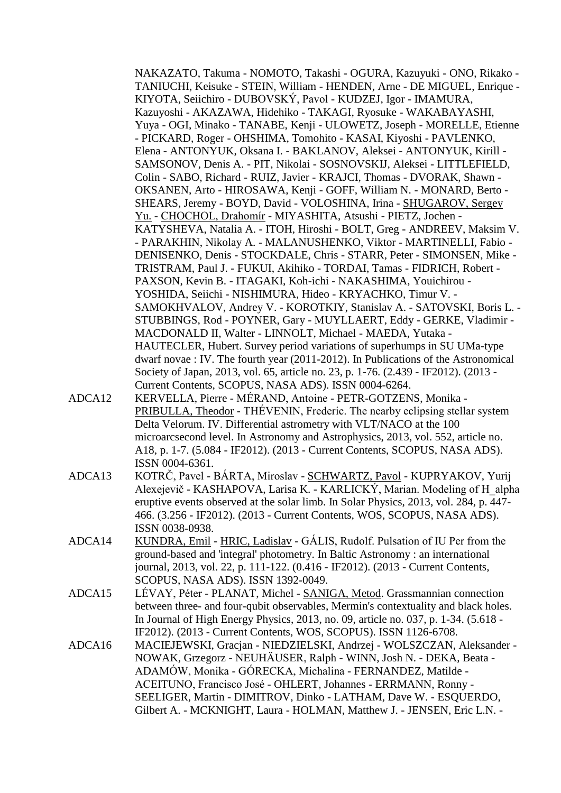NAKAZATO, Takuma - NOMOTO, Takashi - OGURA, Kazuyuki - ONO, Rikako - TANIUCHI, Keisuke - STEIN, William - HENDEN, Arne - DE MIGUEL, Enrique - KIYOTA, Seiichiro - DUBOVSKÝ, Pavol - KUDZEJ, Igor - IMAMURA, Kazuyoshi - AKAZAWA, Hidehiko - TAKAGI, Ryosuke - WAKABAYASHI, Yuya - OGI, Minako - TANABE, Kenji - ULOWETZ, Joseph - MORELLE, Etienne - PICKARD, Roger - OHSHIMA, Tomohito - KASAI, Kiyoshi - PAVLENKO, Elena - ANTONYUK, Oksana I. - BAKLANOV, Aleksei - ANTONYUK, Kirill - SAMSONOV, Denis A. - PIT, Nikolai - SOSNOVSKIJ, Aleksei - LITTLEFIELD, Colin - SABO, Richard - RUIZ, Javier - KRAJCI, Thomas - DVORAK, Shawn - OKSANEN, Arto - HIROSAWA, Kenji - GOFF, William N. - MONARD, Berto - SHEARS, Jeremy - BOYD, David - VOLOSHINA, Irina - SHUGAROV, Sergey Yu. - CHOCHOL, Drahomír - MIYASHITA, Atsushi - PIETZ, Jochen - KATYSHEVA, Natalia A. - ITOH, Hiroshi - BOLT, Greg - ANDREEV, Maksim V. - PARAKHIN, Nikolay A. - MALANUSHENKO, Viktor - MARTINELLI, Fabio - DENISENKO, Denis - STOCKDALE, Chris - STARR, Peter - SIMONSEN, Mike - TRISTRAM, Paul J. - FUKUI, Akihiko - TORDAI, Tamas - FIDRICH, Robert - PAXSON, Kevin B. - ITAGAKI, Koh-ichi - NAKASHIMA, Youichirou - YOSHIDA, Seiichi - NISHIMURA, Hideo - KRYACHKO, Timur V. - SAMOKHVALOV, Andrey V. - KOROTKIY, Stanislav A. - SATOVSKI, Boris L. - STUBBINGS, Rod - POYNER, Gary - MUYLLAERT, Eddy - GERKE, Vladimir - MACDONALD II, Walter - LINNOLT, Michael - MAEDA, Yutaka - HAUTECLER, Hubert. Survey period variations of superhumps in SU UMa-type dwarf novae : IV. The fourth year (2011-2012). In Publications of the Astronomical Society of Japan, 2013, vol. 65, article no. 23, p. 1-76. (2.439 - IF2012). (2013 - Current Contents, SCOPUS, NASA ADS). ISSN 0004-6264.

- ADCA12 KERVELLA, Pierre MÉRAND, Antoine PETR-GOTZENS, Monika PRIBULLA, Theodor - THÉVENIN, Frederic. The nearby eclipsing stellar system Delta Velorum. IV. Differential astrometry with VLT/NACO at the 100 microarcsecond level. In Astronomy and Astrophysics, 2013, vol. 552, article no. A18, p. 1-7. (5.084 - IF2012). (2013 - Current Contents, SCOPUS, NASA ADS). ISSN 0004-6361.
- ADCA13 KOTRČ, Pavel BÁRTA, Miroslav SCHWARTZ, Pavol KUPRYAKOV, Yurij Alexejevič - KASHAPOVA, Larisa K. - KARLICKÝ, Marian. Modeling of H\_alpha eruptive events observed at the solar limb. In Solar Physics, 2013, vol. 284, p. 447- 466. (3.256 - IF2012). (2013 - Current Contents, WOS, SCOPUS, NASA ADS). ISSN 0038-0938.
- ADCA14 KUNDRA, Emil HRIC, Ladislav GÁLIS, Rudolf. Pulsation of IU Per from the ground-based and 'integral' photometry. In Baltic Astronomy : an international journal, 2013, vol. 22, p. 111-122. (0.416 - IF2012). (2013 - Current Contents, SCOPUS, NASA ADS). ISSN 1392-0049.
- ADCA15 LÉVAY, Péter PLANAT, Michel SANIGA, Metod. Grassmannian connection between three- and four-qubit observables, Mermin's contextuality and black holes. In Journal of High Energy Physics, 2013, no. 09, article no. 037, p. 1-34. (5.618 - IF2012). (2013 - Current Contents, WOS, SCOPUS). ISSN 1126-6708.
- ADCA16 MACIEJEWSKI, Gracjan NIEDZIELSKI, Andrzej WOLSZCZAN, Aleksander NOWAK, Grzegorz - NEUHÄUSER, Ralph - WINN, Josh N. - DEKA, Beata - ADAMÓW, Monika - GÓRECKA, Michalina - FERNANDEZ, Matilde - ACEITUNO, Francisco José - OHLERT, Johannes - ERRMANN, Ronny - SEELIGER, Martin - DIMITROV, Dinko - LATHAM, Dave W. - ESOUERDO, Gilbert A. - MCKNIGHT, Laura - HOLMAN, Matthew J. - JENSEN, Eric L.N. -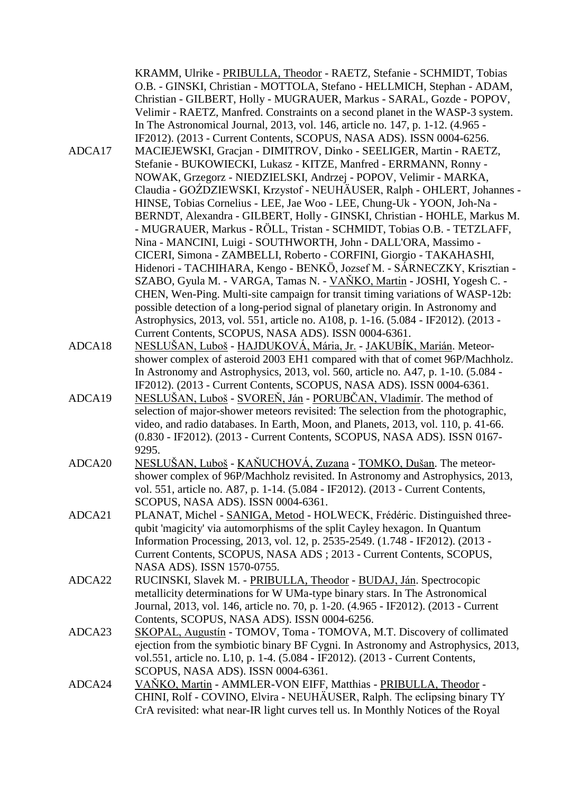|        | KRAMM, Ulrike - PRIBULLA, Theodor - RAETZ, Stefanie - SCHMIDT, Tobias<br>O.B. - GINSKI, Christian - MOTTOLA, Stefano - HELLMICH, Stephan - ADAM,<br>Christian - GILBERT, Holly - MUGRAUER, Markus - SARAL, Gozde - POPOV,<br>Velimir - RAETZ, Manfred. Constraints on a second planet in the WASP-3 system. |
|--------|-------------------------------------------------------------------------------------------------------------------------------------------------------------------------------------------------------------------------------------------------------------------------------------------------------------|
|        | In The Astronomical Journal, 2013, vol. 146, article no. 147, p. 1-12. (4.965 -                                                                                                                                                                                                                             |
| ADCA17 | IF2012). (2013 - Current Contents, SCOPUS, NASA ADS). ISSN 0004-6256.<br>MACIEJEWSKI, Gracjan - DIMITROV, Dinko - SEELIGER, Martin - RAETZ,                                                                                                                                                                 |
|        | Stefanie - BUKOWIECKI, Lukasz - KITZE, Manfred - ERRMANN, Ronny -                                                                                                                                                                                                                                           |
|        | NOWAK, Grzegorz - NIEDZIELSKI, Andrzej - POPOV, Velimir - MARKA,                                                                                                                                                                                                                                            |
|        | Claudia - GOŹDZIEWSKI, Krzystof - NEUHÄUSER, Ralph - OHLERT, Johannes -                                                                                                                                                                                                                                     |
|        | HINSE, Tobias Cornelius - LEE, Jae Woo - LEE, Chung-Uk - YOON, Joh-Na -                                                                                                                                                                                                                                     |
|        | BERNDT, Alexandra - GILBERT, Holly - GINSKI, Christian - HOHLE, Markus M.                                                                                                                                                                                                                                   |
|        | - MUGRAUER, Markus - RÖLL, Tristan - SCHMIDT, Tobias O.B. - TETZLAFF,                                                                                                                                                                                                                                       |
|        | Nina - MANCINI, Luigi - SOUTHWORTH, John - DALL'ORA, Massimo -                                                                                                                                                                                                                                              |
|        | CICERI, Simona - ZAMBELLI, Roberto - CORFINI, Giorgio - TAKAHASHI,                                                                                                                                                                                                                                          |
|        | Hidenori - TACHIHARA, Kengo - BENKÖ, Jozsef M. - SÁRNECZKY, Krisztian -                                                                                                                                                                                                                                     |
|        | SZABO, Gyula M. - VARGA, Tamas N. - VAŇKO, Martin - JOSHI, Yogesh C. -                                                                                                                                                                                                                                      |
|        | CHEN, Wen-Ping. Multi-site campaign for transit timing variations of WASP-12b:<br>possible detection of a long-period signal of planetary origin. In Astronomy and                                                                                                                                          |
|        | Astrophysics, 2013, vol. 551, article no. A108, p. 1-16. (5.084 - IF2012). (2013 -                                                                                                                                                                                                                          |
|        | Current Contents, SCOPUS, NASA ADS). ISSN 0004-6361.                                                                                                                                                                                                                                                        |
| ADCA18 | NESLUŠAN, Luboš - HAJDUKOVÁ, Mária, Jr. - JAKUBÍK, Marián. Meteor-                                                                                                                                                                                                                                          |
|        | shower complex of asteroid 2003 EH1 compared with that of comet 96P/Machholz.                                                                                                                                                                                                                               |
|        | In Astronomy and Astrophysics, 2013, vol. 560, article no. A47, p. 1-10. (5.084 -                                                                                                                                                                                                                           |
|        | IF2012). (2013 - Current Contents, SCOPUS, NASA ADS). ISSN 0004-6361.                                                                                                                                                                                                                                       |
| ADCA19 | NESLUŠAN, Luboš - SVOREŇ, Ján - PORUBČAN, Vladimír. The method of                                                                                                                                                                                                                                           |
|        | selection of major-shower meteors revisited: The selection from the photographic,                                                                                                                                                                                                                           |
|        | video, and radio databases. In Earth, Moon, and Planets, 2013, vol. 110, p. 41-66.                                                                                                                                                                                                                          |
|        | (0.830 - IF2012). (2013 - Current Contents, SCOPUS, NASA ADS). ISSN 0167-<br>9295.                                                                                                                                                                                                                          |
| ADCA20 | NESLUŠAN, Luboš - KAŇUCHOVÁ, Zuzana - TOMKO, Dušan. The meteor-                                                                                                                                                                                                                                             |
|        | shower complex of 96P/Machholz revisited. In Astronomy and Astrophysics, 2013,                                                                                                                                                                                                                              |
|        | vol. 551, article no. A87, p. 1-14. (5.084 - IF2012). (2013 - Current Contents,                                                                                                                                                                                                                             |
|        | SCOPUS, NASA ADS). ISSN 0004-6361.                                                                                                                                                                                                                                                                          |
| ADCA21 | PLANAT, Michel - SANIGA, Metod - HOLWECK, Frédéric. Distinguished three-                                                                                                                                                                                                                                    |
|        | qubit 'magicity' via automorphisms of the split Cayley hexagon. In Quantum                                                                                                                                                                                                                                  |
|        | Information Processing, 2013, vol. 12, p. 2535-2549. (1.748 - IF2012). (2013 -                                                                                                                                                                                                                              |
|        | Current Contents, SCOPUS, NASA ADS; 2013 - Current Contents, SCOPUS,                                                                                                                                                                                                                                        |
| ADCA22 | NASA ADS). ISSN 1570-0755.                                                                                                                                                                                                                                                                                  |
|        | RUCINSKI, Slavek M. - PRIBULLA, Theodor - BUDAJ, Ján. Spectrocopic<br>metallicity determinations for W UMa-type binary stars. In The Astronomical                                                                                                                                                           |
|        | Journal, 2013, vol. 146, article no. 70, p. 1-20. (4.965 - IF2012). (2013 - Current                                                                                                                                                                                                                         |
|        | Contents, SCOPUS, NASA ADS). ISSN 0004-6256.                                                                                                                                                                                                                                                                |
| ADCA23 | SKOPAL, Augustín - TOMOV, Toma - TOMOVA, M.T. Discovery of collimated                                                                                                                                                                                                                                       |
|        | ejection from the symbiotic binary BF Cygni. In Astronomy and Astrophysics, 2013,                                                                                                                                                                                                                           |
|        | vol.551, article no. L10, p. 1-4. (5.084 - IF2012). (2013 - Current Contents,                                                                                                                                                                                                                               |
|        | SCOPUS, NASA ADS). ISSN 0004-6361.                                                                                                                                                                                                                                                                          |
| ADCA24 | VANKO, Martin - AMMLER-VON EIFF, Matthias - PRIBULLA, Theodor -                                                                                                                                                                                                                                             |
|        | CHINI, Rolf - COVINO, Elvira - NEUHÄUSER, Ralph. The eclipsing binary TY                                                                                                                                                                                                                                    |
|        | CrA revisited: what near-IR light curves tell us. In Monthly Notices of the Royal                                                                                                                                                                                                                           |
|        |                                                                                                                                                                                                                                                                                                             |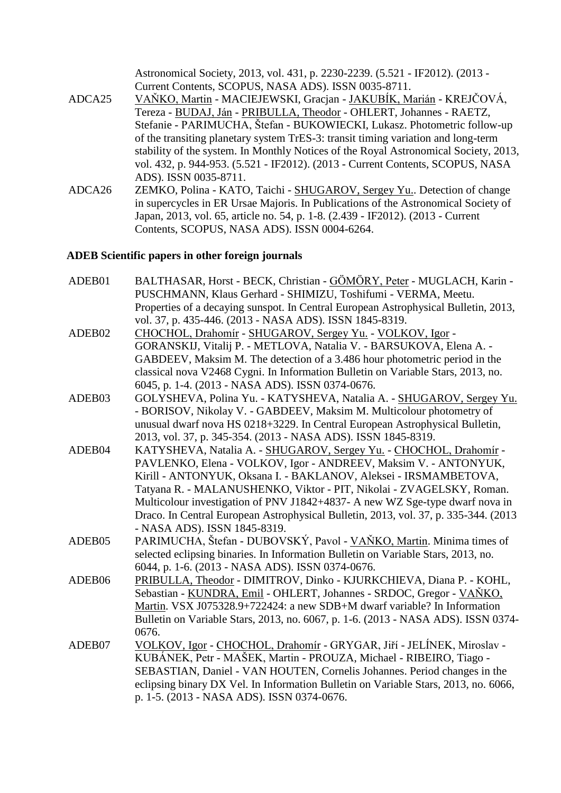|        | Astronomical Society, 2013, vol. 431, p. 2230-2239. (5.521 - IF2012). (2013 -        |
|--------|--------------------------------------------------------------------------------------|
|        | Current Contents, SCOPUS, NASA ADS). ISSN 0035-8711.                                 |
| ADCA25 | VAŇKO, Martin - MACIEJEWSKI, Gracjan - JAKUBÍK, Marián - KREJČOVÁ,                   |
|        | Tereza - BUDAJ, Ján - PRIBULLA, Theodor - OHLERT, Johannes - RAETZ,                  |
|        | Stefanie - PARIMUCHA, Štefan - BUKOWIECKI, Lukasz. Photometric follow-up             |
|        | of the transiting planetary system TrES-3: transit timing variation and long-term    |
|        | stability of the system. In Monthly Notices of the Royal Astronomical Society, 2013, |
|        | vol. 432, p. 944-953. (5.521 - IF2012). (2013 - Current Contents, SCOPUS, NASA       |
|        | ADS). ISSN 0035-8711.                                                                |
| ADCA26 | ZEMKO, Polina - KATO, Taichi - SHUGAROV, Sergey Yu Detection of change               |
|        | in supercycles in ER Ursae Majoris. In Publications of the Astronomical Society of   |
|        | Japan, 2013, vol. 65, article no. 54, p. 1-8. (2.439 - IF2012). (2013 - Current      |

Contents, SCOPUS, NASA ADS). ISSN 0004-6264.

## **ADEB Scientific papers in other foreign journals**

| ADEB01 | BALTHASAR, Horst - BECK, Christian - GÖMÖRY, Peter - MUGLACH, Karin -<br>PUSCHMANN, Klaus Gerhard - SHIMIZU, Toshifumi - VERMA, Meetu.<br>Properties of a decaying sunspot. In Central European Astrophysical Bulletin, 2013,<br>vol. 37, p. 435-446. (2013 - NASA ADS). ISSN 1845-8319.                                                                                                                                                                                                  |
|--------|-------------------------------------------------------------------------------------------------------------------------------------------------------------------------------------------------------------------------------------------------------------------------------------------------------------------------------------------------------------------------------------------------------------------------------------------------------------------------------------------|
| ADEB02 | CHOCHOL, Drahomír - SHUGAROV, Sergey Yu. - VOLKOV, Igor -<br>GORANSKIJ, Vitalij P. - METLOVA, Natalia V. - BARSUKOVA, Elena A. -<br>GABDEEV, Maksim M. The detection of a 3.486 hour photometric period in the<br>classical nova V2468 Cygni. In Information Bulletin on Variable Stars, 2013, no.<br>6045, p. 1-4. (2013 - NASA ADS). ISSN 0374-0676.                                                                                                                                    |
| ADEB03 | GOLYSHEVA, Polina Yu. - KATYSHEVA, Natalia A. - SHUGAROV, Sergey Yu.<br>- BORISOV, Nikolay V. - GABDEEV, Maksim M. Multicolour photometry of<br>unusual dwarf nova HS 0218+3229. In Central European Astrophysical Bulletin,<br>2013, vol. 37, p. 345-354. (2013 - NASA ADS). ISSN 1845-8319.                                                                                                                                                                                             |
| ADEB04 | KATYSHEVA, Natalia A. - SHUGAROV, Sergey Yu. - CHOCHOL, Drahomír -<br>PAVLENKO, Elena - VOLKOV, Igor - ANDREEV, Maksim V. - ANTONYUK,<br>Kirill - ANTONYUK, Oksana I. - BAKLANOV, Aleksei - IRSMAMBETOVA,<br>Tatyana R. - MALANUSHENKO, Viktor - PIT, Nikolai - ZVAGELSKY, Roman.<br>Multicolour investigation of PNV J1842+4837- A new WZ Sge-type dwarf nova in<br>Draco. In Central European Astrophysical Bulletin, 2013, vol. 37, p. 335-344. (2013)<br>- NASA ADS). ISSN 1845-8319. |
| ADEB05 | PARIMUCHA, Štefan - DUBOVSKÝ, Pavol - VAŇKO, Martin. Minima times of<br>selected eclipsing binaries. In Information Bulletin on Variable Stars, 2013, no.<br>6044, p. 1-6. (2013 - NASA ADS). ISSN 0374-0676.                                                                                                                                                                                                                                                                             |
| ADEB06 | PRIBULLA, Theodor - DIMITROV, Dinko - KJURKCHIEVA, Diana P. - KOHL,<br>Sebastian - KUNDRA, Emil - OHLERT, Johannes - SRDOC, Gregor - VANKO,<br>Martin. VSX J075328.9+722424: a new SDB+M dwarf variable? In Information<br>Bulletin on Variable Stars, 2013, no. 6067, p. 1-6. (2013 - NASA ADS). ISSN 0374-<br>0676.                                                                                                                                                                     |
| ADEB07 | VOLKOV, Igor - CHOCHOL, Drahomír - GRYGAR, Jiří - JELÍNEK, Miroslav -<br>KUBÁNEK, Petr - MAŠEK, Martin - PROUZA, Michael - RIBEIRO, Tiago -<br>SEBASTIAN, Daniel - VAN HOUTEN, Cornelis Johannes. Period changes in the<br>eclipsing binary DX Vel. In Information Bulletin on Variable Stars, 2013, no. 6066,<br>p. 1-5. (2013 - NASA ADS). ISSN 0374-0676.                                                                                                                              |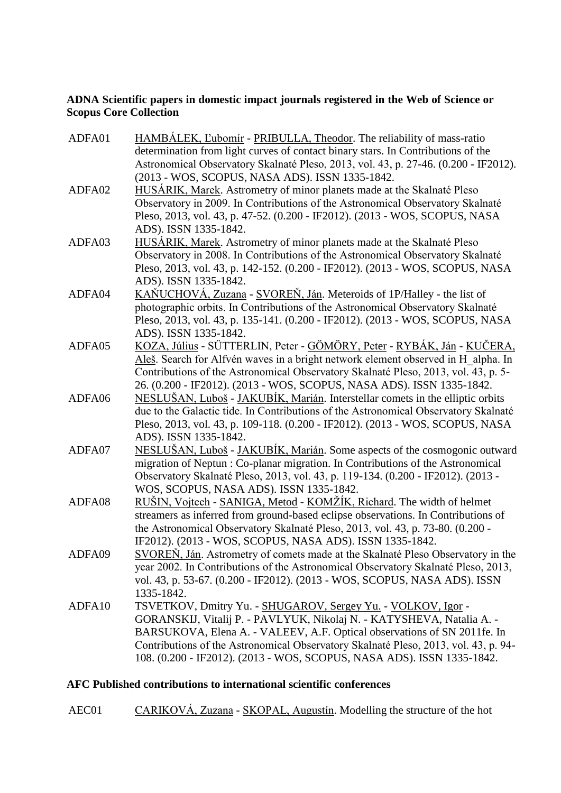## **ADNA Scientific papers in domestic impact journals registered in the Web of Science or Scopus Core Collection**

| ADFA01 | HAMBÁLEK, L'ubomír - PRIBULLA, Theodor. The reliability of mass-ratio<br>determination from light curves of contact binary stars. In Contributions of the<br>Astronomical Observatory Skalnaté Pleso, 2013, vol. 43, p. 27-46. (0.200 - IF2012).<br>(2013 - WOS, SCOPUS, NASA ADS). ISSN 1335-1842.                                                                                |
|--------|------------------------------------------------------------------------------------------------------------------------------------------------------------------------------------------------------------------------------------------------------------------------------------------------------------------------------------------------------------------------------------|
| ADFA02 | HUSÁRIK, Marek. Astrometry of minor planets made at the Skalnaté Pleso<br>Observatory in 2009. In Contributions of the Astronomical Observatory Skalnaté<br>Pleso, 2013, vol. 43, p. 47-52. (0.200 - IF2012). (2013 - WOS, SCOPUS, NASA<br>ADS). ISSN 1335-1842.                                                                                                                   |
| ADFA03 | HUSÁRIK, Marek. Astrometry of minor planets made at the Skalnaté Pleso<br>Observatory in 2008. In Contributions of the Astronomical Observatory Skalnaté<br>Pleso, 2013, vol. 43, p. 142-152. (0.200 - IF2012). (2013 - WOS, SCOPUS, NASA<br>ADS). ISSN 1335-1842.                                                                                                                 |
| ADFA04 | KAŇUCHOVÁ, Zuzana - SVOREŇ, Ján. Meteroids of 1P/Halley - the list of<br>photographic orbits. In Contributions of the Astronomical Observatory Skalnaté<br>Pleso, 2013, vol. 43, p. 135-141. (0.200 - IF2012). (2013 - WOS, SCOPUS, NASA<br>ADS). ISSN 1335-1842.                                                                                                                  |
| ADFA05 | KOZA, Július - SÜTTERLIN, Peter - GÖMÖRY, Peter - RYBÁK, Ján - KUČERA,<br>Aleš. Search for Alfvén waves in a bright network element observed in H alpha. In<br>Contributions of the Astronomical Observatory Skalnaté Pleso, 2013, vol. 43, p. 5-<br>26. (0.200 - IF2012). (2013 - WOS, SCOPUS, NASA ADS). ISSN 1335-1842.                                                         |
| ADFA06 | NESLUŠAN, Luboš - JAKUBÍK, Marián. Interstellar comets in the elliptic orbits<br>due to the Galactic tide. In Contributions of the Astronomical Observatory Skalnaté<br>Pleso, 2013, vol. 43, p. 109-118. (0.200 - IF2012). (2013 - WOS, SCOPUS, NASA<br>ADS). ISSN 1335-1842.                                                                                                     |
| ADFA07 | NESLUŠAN, Luboš - JAKUBÍK, Marián. Some aspects of the cosmogonic outward<br>migration of Neptun: Co-planar migration. In Contributions of the Astronomical<br>Observatory Skalnaté Pleso, 2013, vol. 43, p. 119-134. (0.200 - IF2012). (2013 -<br>WOS, SCOPUS, NASA ADS). ISSN 1335-1842.                                                                                         |
| ADFA08 | RUŠIN, Vojtech - SANIGA, Metod - KOMŽÍK, Richard. The width of helmet<br>streamers as inferred from ground-based eclipse observations. In Contributions of<br>the Astronomical Observatory Skalnaté Pleso, 2013, vol. 43, p. 73-80. (0.200 -<br>IF2012). (2013 - WOS, SCOPUS, NASA ADS). ISSN 1335-1842.                                                                           |
| ADFA09 | SVOREN, Ján. Astrometry of comets made at the Skalnaté Pleso Observatory in the<br>year 2002. In Contributions of the Astronomical Observatory Skalnaté Pleso, 2013,<br>vol. 43, p. 53-67. (0.200 - IF2012). (2013 - WOS, SCOPUS, NASA ADS). ISSN<br>1335-1842.                                                                                                                    |
| ADFA10 | TSVETKOV, Dmitry Yu. - SHUGAROV, Sergey Yu. - VOLKOV, Igor -<br>GORANSKIJ, Vitalij P. - PAVLYUK, Nikolaj N. - KATYSHEVA, Natalia A. -<br>BARSUKOVA, Elena A. - VALEEV, A.F. Optical observations of SN 2011fe. In<br>Contributions of the Astronomical Observatory Skalnaté Pleso, 2013, vol. 43, p. 94-<br>108. (0.200 - IF2012). (2013 - WOS, SCOPUS, NASA ADS). ISSN 1335-1842. |

## **AFC Published contributions to international scientific conferences**

AEC01 CARIKOVÁ, Zuzana - SKOPAL, Augustín. Modelling the structure of the hot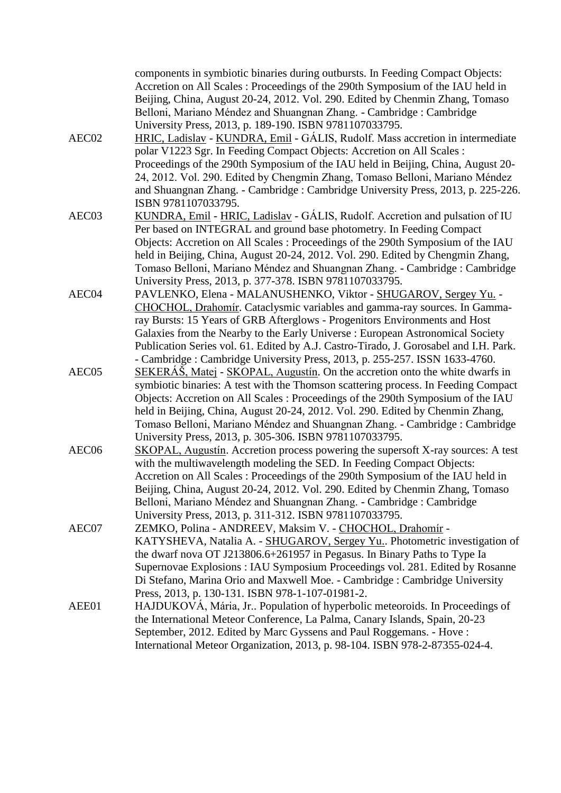|                   | components in symbiotic binaries during outbursts. In Feeding Compact Objects:<br>Accretion on All Scales: Proceedings of the 290th Symposium of the IAU held in<br>Beijing, China, August 20-24, 2012. Vol. 290. Edited by Chenmin Zhang, Tomaso<br>Belloni, Mariano Méndez and Shuangnan Zhang. - Cambridge : Cambridge<br>University Press, 2013, p. 189-190. ISBN 9781107033795.                                                                                                        |
|-------------------|---------------------------------------------------------------------------------------------------------------------------------------------------------------------------------------------------------------------------------------------------------------------------------------------------------------------------------------------------------------------------------------------------------------------------------------------------------------------------------------------|
| AEC02             | HRIC, Ladislav - KUNDRA, Emil - GÁLIS, Rudolf. Mass accretion in intermediate<br>polar V1223 Sgr. In Feeding Compact Objects: Accretion on All Scales :<br>Proceedings of the 290th Symposium of the IAU held in Beijing, China, August 20-<br>24, 2012. Vol. 290. Edited by Chengmin Zhang, Tomaso Belloni, Mariano Méndez<br>and Shuangnan Zhang. - Cambridge: Cambridge University Press, 2013, p. 225-226.                                                                              |
| AEC03             | ISBN 9781107033795.<br>KUNDRA, Emil - HRIC, Ladislav - GÁLIS, Rudolf. Accretion and pulsation of IU<br>Per based on INTEGRAL and ground base photometry. In Feeding Compact<br>Objects: Accretion on All Scales: Proceedings of the 290th Symposium of the IAU<br>held in Beijing, China, August 20-24, 2012. Vol. 290. Edited by Chengmin Zhang,<br>Tomaso Belloni, Mariano Méndez and Shuangnan Zhang. - Cambridge : Cambridge<br>University Press, 2013, p. 377-378. ISBN 9781107033795. |
| AEC04             | PAVLENKO, Elena - MALANUSHENKO, Viktor - SHUGAROV, Sergey Yu. -<br>CHOCHOL, Drahomír. Cataclysmic variables and gamma-ray sources. In Gamma-<br>ray Bursts: 15 Years of GRB Afterglows - Progenitors Environments and Host<br>Galaxies from the Nearby to the Early Universe : European Astronomical Society<br>Publication Series vol. 61. Edited by A.J. Castro-Tirado, J. Gorosabel and I.H. Park.<br>- Cambridge: Cambridge University Press, 2013, p. 255-257. ISSN 1633-4760.         |
| AEC05             | SEKERÁŠ, Matej - SKOPAL, Augustín. On the accretion onto the white dwarfs in<br>symbiotic binaries: A test with the Thomson scattering process. In Feeding Compact<br>Objects: Accretion on All Scales: Proceedings of the 290th Symposium of the IAU<br>held in Beijing, China, August 20-24, 2012. Vol. 290. Edited by Chenmin Zhang,<br>Tomaso Belloni, Mariano Méndez and Shuangnan Zhang. - Cambridge : Cambridge<br>University Press, 2013, p. 305-306. ISBN 9781107033795.           |
| AEC <sub>06</sub> | SKOPAL, Augustín. Accretion process powering the supersoft X-ray sources: A test<br>with the multiwavelength modeling the SED. In Feeding Compact Objects:<br>Accretion on All Scales : Proceedings of the 290th Symposium of the IAU held in<br>Beijing, China, August 20-24, 2012. Vol. 290. Edited by Chenmin Zhang, Tomaso<br>Belloni, Mariano Méndez and Shuangnan Zhang. - Cambridge : Cambridge<br>University Press, 2013, p. 311-312. ISBN 9781107033795.                           |
| AEC07             | ZEMKO, Polina - ANDREEV, Maksim V. - CHOCHOL, Drahomír -<br>KATYSHEVA, Natalia A. - SHUGAROV, Sergey Yu Photometric investigation of<br>the dwarf nova OT J213806.6+261957 in Pegasus. In Binary Paths to Type Ia<br>Supernovae Explosions: IAU Symposium Proceedings vol. 281. Edited by Rosanne<br>Di Stefano, Marina Orio and Maxwell Moe. - Cambridge : Cambridge University<br>Press, 2013, p. 130-131. ISBN 978-1-107-01981-2.                                                        |
| AEE01             | HAJDUKOVÁ, Mária, Jr Population of hyperbolic meteoroids. In Proceedings of<br>the International Meteor Conference, La Palma, Canary Islands, Spain, 20-23<br>September, 2012. Edited by Marc Gyssens and Paul Roggemans. - Hove :<br>International Meteor Organization, 2013, p. 98-104. ISBN 978-2-87355-024-4.                                                                                                                                                                           |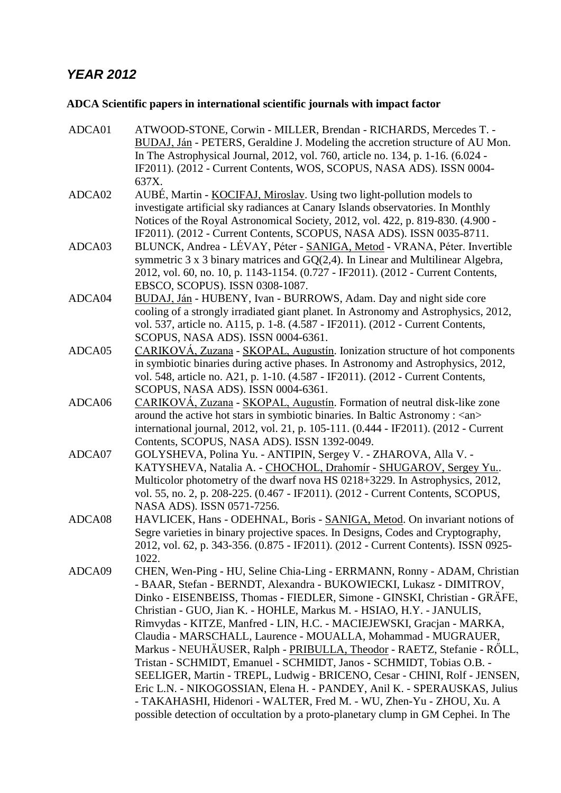# *YEAR 2012*

# **ADCA Scientific papers in international scientific journals with impact factor**

| ADCA01 | ATWOOD-STONE, Corwin - MILLER, Brendan - RICHARDS, Mercedes T. -<br>BUDAJ, Ján - PETERS, Geraldine J. Modeling the accretion structure of AU Mon.<br>In The Astrophysical Journal, 2012, vol. 760, article no. 134, p. 1-16. (6.024 -<br>IF2011). (2012 - Current Contents, WOS, SCOPUS, NASA ADS). ISSN 0004-<br>637X.                                                                                                                                                                                                                                                                                                                                                                                                                                                                                                                                                                                                |
|--------|------------------------------------------------------------------------------------------------------------------------------------------------------------------------------------------------------------------------------------------------------------------------------------------------------------------------------------------------------------------------------------------------------------------------------------------------------------------------------------------------------------------------------------------------------------------------------------------------------------------------------------------------------------------------------------------------------------------------------------------------------------------------------------------------------------------------------------------------------------------------------------------------------------------------|
| ADCA02 | AUBÉ, Martin - KOCIFAJ, Miroslav. Using two light-pollution models to<br>investigate artificial sky radiances at Canary Islands observatories. In Monthly<br>Notices of the Royal Astronomical Society, 2012, vol. 422, p. 819-830. (4.900 -<br>IF2011). (2012 - Current Contents, SCOPUS, NASA ADS). ISSN 0035-8711.                                                                                                                                                                                                                                                                                                                                                                                                                                                                                                                                                                                                  |
| ADCA03 | BLUNCK, Andrea - LÉVAY, Péter - SANIGA, Metod - VRANA, Péter. Invertible<br>symmetric $3 \times 3$ binary matrices and $GQ(2,4)$ . In Linear and Multilinear Algebra,<br>2012, vol. 60, no. 10, p. 1143-1154. (0.727 - IF2011). (2012 - Current Contents,<br>EBSCO, SCOPUS). ISSN 0308-1087.                                                                                                                                                                                                                                                                                                                                                                                                                                                                                                                                                                                                                           |
| ADCA04 | BUDAJ, Ján - HUBENY, Ivan - BURROWS, Adam. Day and night side core<br>cooling of a strongly irradiated giant planet. In Astronomy and Astrophysics, 2012,<br>vol. 537, article no. A115, p. 1-8. (4.587 - IF2011). (2012 - Current Contents,<br>SCOPUS, NASA ADS). ISSN 0004-6361.                                                                                                                                                                                                                                                                                                                                                                                                                                                                                                                                                                                                                                     |
| ADCA05 | CARIKOVÁ, Zuzana - SKOPAL, Augustín. Ionization structure of hot components<br>in symbiotic binaries during active phases. In Astronomy and Astrophysics, 2012,<br>vol. 548, article no. A21, p. 1-10. (4.587 - IF2011). (2012 - Current Contents,<br>SCOPUS, NASA ADS). ISSN 0004-6361.                                                                                                                                                                                                                                                                                                                                                                                                                                                                                                                                                                                                                               |
| ADCA06 | CARIKOVÁ, Zuzana - SKOPAL, Augustín. Formation of neutral disk-like zone<br>around the active hot stars in symbiotic binaries. In Baltic Astronomy : <an><br/>international journal, 2012, vol. 21, p. 105-111. (0.444 - IF2011). (2012 - Current<br/>Contents, SCOPUS, NASA ADS). ISSN 1392-0049.</an>                                                                                                                                                                                                                                                                                                                                                                                                                                                                                                                                                                                                                |
| ADCA07 | GOLYSHEVA, Polina Yu. - ANTIPIN, Sergey V. - ZHAROVA, Alla V. -<br>KATYSHEVA, Natalia A. - CHOCHOL, Drahomír - SHUGAROV, Sergey Yu<br>Multicolor photometry of the dwarf nova HS 0218+3229. In Astrophysics, 2012,<br>vol. 55, no. 2, p. 208-225. (0.467 - IF2011). (2012 - Current Contents, SCOPUS,<br>NASA ADS). ISSN 0571-7256.                                                                                                                                                                                                                                                                                                                                                                                                                                                                                                                                                                                    |
| ADCA08 | HAVLICEK, Hans - ODEHNAL, Boris - SANIGA, Metod. On invariant notions of<br>Segre varieties in binary projective spaces. In Designs, Codes and Cryptography,<br>2012, vol. 62, p. 343-356. (0.875 - IF2011). (2012 - Current Contents). ISSN 0925-<br>1022.                                                                                                                                                                                                                                                                                                                                                                                                                                                                                                                                                                                                                                                            |
| ADCA09 | CHEN, Wen-Ping - HU, Seline Chia-Ling - ERRMANN, Ronny - ADAM, Christian<br>- BAAR, Stefan - BERNDT, Alexandra - BUKOWIECKI, Lukasz - DIMITROV,<br>Dinko - EISENBEISS, Thomas - FIEDLER, Simone - GINSKI, Christian - GRÄFE,<br>Christian - GUO, Jian K. - HOHLE, Markus M. - HSIAO, H.Y. - JANULIS,<br>Rimvydas - KITZE, Manfred - LIN, H.C. - MACIEJEWSKI, Gracjan - MARKA,<br>Claudia - MARSCHALL, Laurence - MOUALLA, Mohammad - MUGRAUER,<br>Markus - NEUHÄUSER, Ralph - PRIBULLA, Theodor - RAETZ, Stefanie - RÖLL,<br>Tristan - SCHMIDT, Emanuel - SCHMIDT, Janos - SCHMIDT, Tobias O.B. -<br>SEELIGER, Martin - TREPL, Ludwig - BRICENO, Cesar - CHINI, Rolf - JENSEN,<br>Eric L.N. - NIKOGOSSIAN, Elena H. - PANDEY, Anil K. - SPERAUSKAS, Julius<br>- TAKAHASHI, Hidenori - WALTER, Fred M. - WU, Zhen-Yu - ZHOU, Xu. A<br>possible detection of occultation by a proto-planetary clump in GM Cephei. In The |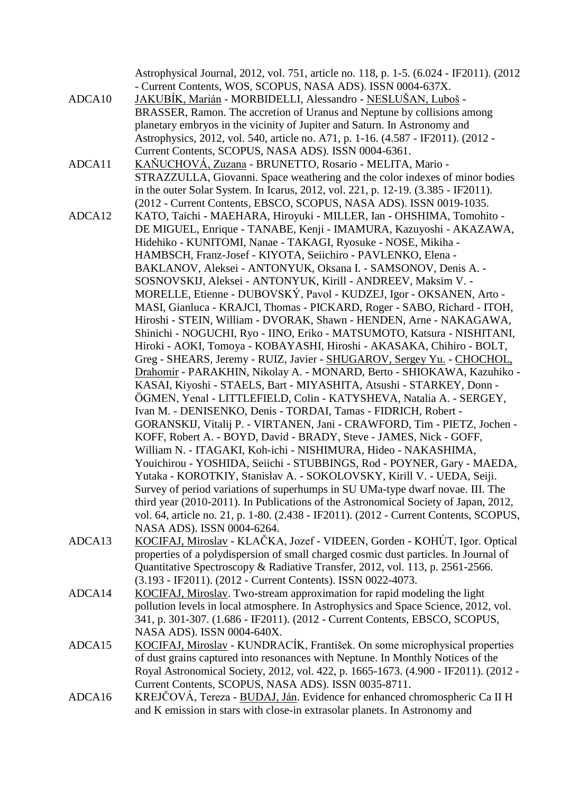Astrophysical Journal, 2012, vol. 751, article no. 118, p. 1-5. (6.024 - IF2011). (2012 - Current Contents, WOS, SCOPUS, NASA ADS). ISSN 0004-637X.

- ADCA10 JAKUBÍK, Marián MORBIDELLI, Alessandro NESLUŠAN, Luboš BRASSER, Ramon. The accretion of Uranus and Neptune by collisions among planetary embryos in the vicinity of Jupiter and Saturn. In Astronomy and Astrophysics, 2012, vol. 540, article no. A71, p. 1-16. (4.587 - IF2011). (2012 - Current Contents, SCOPUS, NASA ADS). ISSN 0004-6361.
- ADCA11 KAŇUCHOVÁ, Zuzana BRUNETTO, Rosario MELITA, Mario STRAZZULLA, Giovanni. Space weathering and the color indexes of minor bodies in the outer Solar System. In Icarus, 2012, vol. 221, p. 12-19. (3.385 - IF2011). (2012 - Current Contents, EBSCO, SCOPUS, NASA ADS). ISSN 0019-1035.
- ADCA12 KATO, Taichi MAEHARA, Hiroyuki MILLER, Ian OHSHIMA, Tomohito DE MIGUEL, Enrique - TANABE, Kenji - IMAMURA, Kazuyoshi - AKAZAWA, Hidehiko - KUNITOMI, Nanae - TAKAGI, Ryosuke - NOSE, Mikiha - HAMBSCH, Franz-Josef - KIYOTA, Seiichiro - PAVLENKO, Elena - BAKLANOV, Aleksei - ANTONYUK, Oksana I. - SAMSONOV, Denis A. - SOSNOVSKIJ, Aleksei - ANTONYUK, Kirill - ANDREEV, Maksim V. - MORELLE, Etienne - DUBOVSKÝ, Pavol - KUDZEJ, Igor - OKSANEN, Arto - MASI, Gianluca - KRAJCI, Thomas - PICKARD, Roger - SABO, Richard - ITOH, Hiroshi - STEIN, William - DVORAK, Shawn - HENDEN, Arne - NAKAGAWA, Shinichi - NOGUCHI, Ryo - IINO, Eriko - MATSUMOTO, Katsura - NISHITANI, Hiroki - AOKI, Tomoya - KOBAYASHI, Hiroshi - AKASAKA, Chihiro - BOLT, Greg - SHEARS, Jeremy - RUIZ, Javier - SHUGAROV, Sergey Yu. - CHOCHOL, Drahomír - PARAKHIN, Nikolay A. - MONARD, Berto - SHIOKAWA, Kazuhiko - KASAI, Kiyoshi - STAELS, Bart - MIYASHITA, Atsushi - STARKEY, Donn - ÖGMEN, Yenal - LITTLEFIELD, Colin - KATYSHEVA, Natalia A. - SERGEY, Ivan M. - DENISENKO, Denis - TORDAI, Tamas - FIDRICH, Robert - GORANSKIJ, Vitalij P. - VIRTANEN, Jani - CRAWFORD, Tim - PIETZ, Jochen - KOFF, Robert A. - BOYD, David - BRADY, Steve - JAMES, Nick - GOFF, William N. - ITAGAKI, Koh-ichi - NISHIMURA, Hideo - NAKASHIMA, Youichirou - YOSHIDA, Seiichi - STUBBINGS, Rod - POYNER, Gary - MAEDA, Yutaka - KOROTKIY, Stanislav A. - SOKOLOVSKY, Kirill V. - UEDA, Seiji. Survey of period variations of superhumps in SU UMa-type dwarf novae. III. The third year (2010-2011). In Publications of the Astronomical Society of Japan, 2012, vol. 64, article no. 21, p. 1-80. (2.438 - IF2011). (2012 - Current Contents, SCOPUS, NASA ADS). ISSN 0004-6264.
- ADCA13 KOCIFAJ, Miroslav KLAČKA, Jozef VIDEEN, Gorden KOHÚT, Igor. Optical properties of a polydispersion of small charged cosmic dust particles. In Journal of Quantitative Spectroscopy & Radiative Transfer, 2012, vol. 113, p. 2561-2566. (3.193 - IF2011). (2012 - Current Contents). ISSN 0022-4073.
- ADCA14 KOCIFAJ, Miroslav. Two-stream approximation for rapid modeling the light pollution levels in local atmosphere. In Astrophysics and Space Science, 2012, vol. 341, p. 301-307. (1.686 - IF2011). (2012 - Current Contents, EBSCO, SCOPUS, NASA ADS). ISSN 0004-640X.
- ADCA15 KOCIFAJ, Miroslav KUNDRACÍK, František. On some microphysical properties of dust grains captured into resonances with Neptune. In Monthly Notices of the Royal Astronomical Society, 2012, vol. 422, p. 1665-1673. (4.900 - IF2011). (2012 - Current Contents, SCOPUS, NASA ADS). ISSN 0035-8711.
- ADCA16 KREJČOVÁ, Tereza BUDAJ, Ján. Evidence for enhanced chromospheric Ca II H and K emission in stars with close-in extrasolar planets. In Astronomy and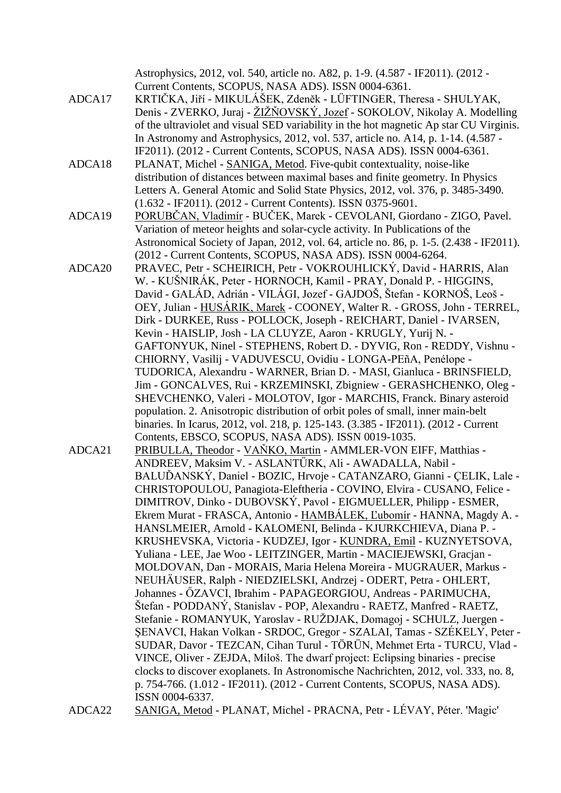Astrophysics, 2012, vol. 540, article no. A82, p. 1-9. (4.587 - IF2011). (2012 - Current Contents, SCOPUS, NASA ADS). ISSN 0004-6361. ADCA17 KRTIČKA, Jiří - MIKULÁŠEK, Zdeněk - LÜFTINGER, Theresa - SHULYAK, Denis - ZVERKO, Juraj - ŽIŽŇOVSKÝ, Jozef - SOKOLOV, Nikolay A. Modelling of the ultraviolet and visual SED variability in the hot magnetic Ap star CU Virginis. In Astronomy and Astrophysics, 2012, vol. 537, article no. A14, p. 1-14. (4.587 - IF2011). (2012 - Current Contents, SCOPUS, NASA ADS). ISSN 0004-6361. ADCA18 PLANAT, Michel - SANIGA, Metod. Five-qubit contextuality, noise-like distribution of distances between maximal bases and finite geometry. In Physics Letters A. General Atomic and Solid State Physics, 2012, vol. 376, p. 3485-3490. (1.632 - IF2011). (2012 - Current Contents). ISSN 0375-9601. ADCA19 PORUBČAN, Vladimír - BUČEK, Marek - CEVOLANI, Giordano - ZIGO, Pavel. Variation of meteor heights and solar-cycle activity. In Publications of the Astronomical Society of Japan, 2012, vol. 64, article no. 86, p. 1-5. (2.438 - IF2011). (2012 - Current Contents, SCOPUS, NASA ADS). ISSN 0004-6264. ADCA20 PRAVEC, Petr - SCHEIRICH, Petr - VOKROUHLICKÝ, David - HARRIS, Alan W. - KUŠNIRÁK, Peter - HORNOCH, Kamil - PRAY, Donald P. - HIGGINS, David - GALÁD, Adrián - VILÁGI, Jozef - GAJDOŠ, Štefan - KORNOŠ, Leoš - OEY, Julian - HUSÁRIK, Marek - COONEY, Walter R. - GROSS, John - TERREL, Dirk - DURKEE, Russ - POLLOCK, Joseph - REICHART, Daniel - IVARSEN, Kevin - HAISLIP, Josh - LA CLUYZE, Aaron - KRUGLY, Yurij N. - GAFTONYUK, Ninel - STEPHENS, Robert D. - DYVIG, Ron - REDDY, Vishnu - CHIORNY, Vasilij - VADUVESCU, Ovidiu - LONGA-PEñA, Penélope - TUDORICA, Alexandru - WARNER, Brian D. - MASI, Gianluca - BRINSFIELD, Jim - GONCALVES, Rui - KRZEMINSKI, Zbigniew - GERASHCHENKO, Oleg - SHEVCHENKO, Valeri - MOLOTOV, Igor - MARCHIS, Franck. Binary asteroid population. 2. Anisotropic distribution of orbit poles of small, inner main-belt binaries. In Icarus, 2012, vol. 218, p. 125-143. (3.385 - IF2011). (2012 - Current Contents, EBSCO, SCOPUS, NASA ADS). ISSN 0019-1035. ADCA21 PRIBULLA, Theodor - VAŇKO, Martin - AMMLER-VON EIFF, Matthias - ANDREEV, Maksim V. - ASLANTŰRK, Ali - AWADALLA, Nabil - BALUĎANSKÝ, Daniel - BOZIC, Hrvoje - CATANZARO, Gianni - ÇELIK, Lale - CHRISTOPOULOU, Panagiota-Eleftheria - COVINO, Elvira - CUSANO, Felice - DIMITROV, Dinko - DUBOVSKÝ, Pavol - EIGMUELLER, Philipp - ESMER, Ekrem Murat - FRASCA, Antonio - HAMBÁLEK, Ľubomír - HANNA, Magdy A. - HANSLMEIER, Arnold - KALOMENI, Belinda - KJURKCHIEVA, Diana P. - KRUSHEVSKA, Victoria - KUDZEJ, Igor - KUNDRA, Emil - KUZNYETSOVA, Yuliana - LEE, Jae Woo - LEITZINGER, Martin - MACIEJEWSKI, Gracjan - MOLDOVAN, Dan - MORAIS, Maria Helena Moreira - MUGRAUER, Markus - NEUHÄUSER, Ralph - NIEDZIELSKI, Andrzej - ODERT, Petra - OHLERT, Johannes - ŐZAVCI, Ibrahim - PAPAGEORGIOU, Andreas - PARIMUCHA, Štefan - PODDANÝ, Stanislav - POP, Alexandru - RAETZ, Manfred - RAETZ, Stefanie - ROMANYUK, Yaroslav - RUŽDJAK, Domagoj - SCHULZ, Juergen -ŞENAVCI, Hakan Volkan - SRDOC, Gregor - SZALAI, Tamas - SZÉKELY, Peter - SUDAR, Davor - TEZCAN, Cihan Turul - TÖRÜN, Mehmet Erta - TURCU, Vlad - VINCE, Oliver - ZEJDA, Miloš. The dwarf project: Eclipsing binaries - precise clocks to discover exoplanets. In Astronomische Nachrichten, 2012, vol. 333, no. 8, p. 754-766. (1.012 - IF2011). (2012 - Current Contents, SCOPUS, NASA ADS). ISSN 0004-6337. ADCA22 SANIGA, Metod - PLANAT, Michel - PRACNA, Petr - LÉVAY, Péter. 'Magic'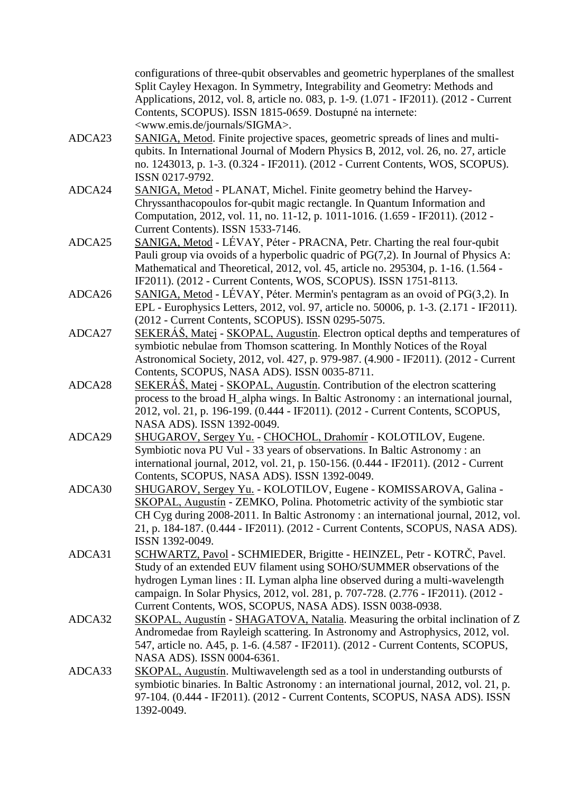|        | configurations of three-qubit observables and geometric hyperplanes of the smallest<br>Split Cayley Hexagon. In Symmetry, Integrability and Geometry: Methods and<br>Applications, 2012, vol. 8, article no. 083, p. 1-9. (1.071 - IF2011). (2012 - Current<br>Contents, SCOPUS). ISSN 1815-0659. Dostupné na internete:<br><www.emis.de journals="" sigma="">.</www.emis.de>        |
|--------|--------------------------------------------------------------------------------------------------------------------------------------------------------------------------------------------------------------------------------------------------------------------------------------------------------------------------------------------------------------------------------------|
| ADCA23 | SANIGA, Metod. Finite projective spaces, geometric spreads of lines and multi-<br>qubits. In International Journal of Modern Physics B, 2012, vol. 26, no. 27, article<br>no. 1243013, p. 1-3. (0.324 - IF2011). (2012 - Current Contents, WOS, SCOPUS).<br>ISSN 0217-9792.                                                                                                          |
| ADCA24 | SANIGA, Metod - PLANAT, Michel. Finite geometry behind the Harvey-<br>Chryssanthacopoulos for-qubit magic rectangle. In Quantum Information and<br>Computation, 2012, vol. 11, no. 11-12, p. 1011-1016. (1.659 - IF2011). (2012 -<br>Current Contents). ISSN 1533-7146.                                                                                                              |
| ADCA25 | SANIGA, Metod - LÉVAY, Péter - PRACNA, Petr. Charting the real four-qubit<br>Pauli group via ovoids of a hyperbolic quadric of $PG(7,2)$ . In Journal of Physics A:<br>Mathematical and Theoretical, 2012, vol. 45, article no. 295304, p. 1-16. (1.564 -<br>IF2011). (2012 - Current Contents, WOS, SCOPUS). ISSN 1751-8113.                                                        |
| ADCA26 | SANIGA, Metod - LÉVAY, Péter. Mermin's pentagram as an ovoid of PG(3,2). In<br>EPL - Europhysics Letters, 2012, vol. 97, article no. 50006, p. 1-3. (2.171 - IF2011).<br>(2012 - Current Contents, SCOPUS). ISSN 0295-5075.                                                                                                                                                          |
| ADCA27 | <u>SEKERÁŠ, Matej</u> - SKOPAL, Augustín. Electron optical depths and temperatures of<br>symbiotic nebulae from Thomson scattering. In Monthly Notices of the Royal<br>Astronomical Society, 2012, vol. 427, p. 979-987. (4.900 - IF2011). (2012 - Current                                                                                                                           |
| ADCA28 | Contents, SCOPUS, NASA ADS). ISSN 0035-8711.<br>SEKERÁŠ, Matej - SKOPAL, Augustín. Contribution of the electron scattering<br>process to the broad H_alpha wings. In Baltic Astronomy : an international journal,<br>2012, vol. 21, p. 196-199. (0.444 - IF2011). (2012 - Current Contents, SCOPUS,<br>NASA ADS). ISSN 1392-0049.                                                    |
| ADCA29 | SHUGAROV, Sergey Yu. - CHOCHOL, Drahomír - KOLOTILOV, Eugene.<br>Symbiotic nova PU Vul - 33 years of observations. In Baltic Astronomy : an<br>international journal, 2012, vol. 21, p. 150-156. (0.444 - IF2011). (2012 - Current<br>Contents, SCOPUS, NASA ADS). ISSN 1392-0049.                                                                                                   |
| ADCA30 | SHUGAROV, Sergey Yu. - KOLOTILOV, Eugene - KOMISSAROVA, Galina -<br>SKOPAL, Augustín - ZEMKO, Polina. Photometric activity of the symbiotic star<br>CH Cyg during 2008-2011. In Baltic Astronomy: an international journal, 2012, vol.<br>21, p. 184-187. (0.444 - IF2011). (2012 - Current Contents, SCOPUS, NASA ADS).<br>ISSN 1392-0049.                                          |
| ADCA31 | SCHWARTZ, Pavol - SCHMIEDER, Brigitte - HEINZEL, Petr - KOTRČ, Pavel.<br>Study of an extended EUV filament using SOHO/SUMMER observations of the<br>hydrogen Lyman lines : II. Lyman alpha line observed during a multi-wavelength<br>campaign. In Solar Physics, 2012, vol. 281, p. 707-728. (2.776 - IF2011). (2012 -<br>Current Contents, WOS, SCOPUS, NASA ADS). ISSN 0038-0938. |
| ADCA32 | SKOPAL, Augustín - SHAGATOVA, Natalia. Measuring the orbital inclination of Z<br>Andromedae from Rayleigh scattering. In Astronomy and Astrophysics, 2012, vol.<br>547, article no. A45, p. 1-6. (4.587 - IF2011). (2012 - Current Contents, SCOPUS,<br>NASA ADS). ISSN 0004-6361.                                                                                                   |
| ADCA33 | SKOPAL, Augustín. Multiwavelength sed as a tool in understanding outbursts of<br>symbiotic binaries. In Baltic Astronomy: an international journal, 2012, vol. 21, p.<br>97-104. (0.444 - IF2011). (2012 - Current Contents, SCOPUS, NASA ADS). ISSN<br>1392-0049.                                                                                                                   |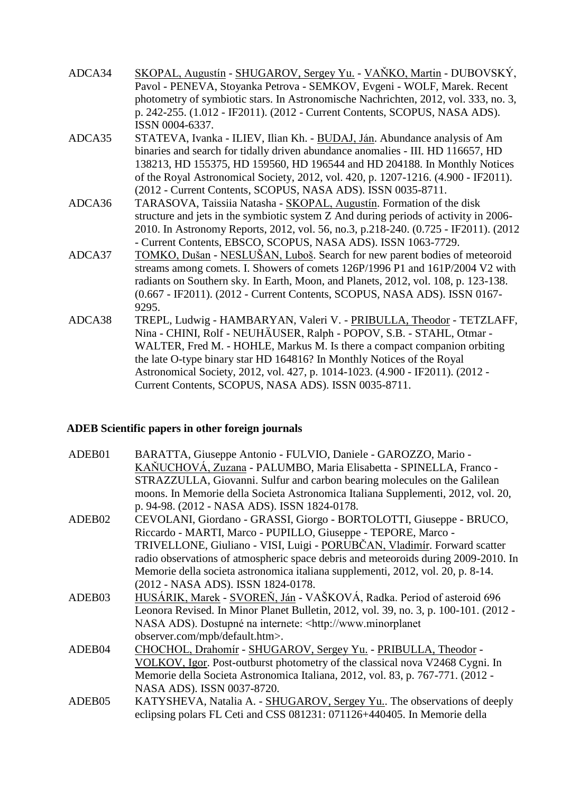| ADCA34 | <u> SKOPAL, Augustín - SHUGAROV, Sergey Yu. - VAŇKO, Martin</u> - DUBOVSKÝ,          |
|--------|--------------------------------------------------------------------------------------|
|        | Pavol - PENEVA, Stoyanka Petrova - SEMKOV, Evgeni - WOLF, Marek. Recent              |
|        | photometry of symbiotic stars. In Astronomische Nachrichten, 2012, vol. 333, no. 3,  |
|        | p. 242-255. (1.012 - IF2011). (2012 - Current Contents, SCOPUS, NASA ADS).           |
|        | ISSN 0004-6337.                                                                      |
| ADCA35 | STATEVA, Ivanka - ILIEV, Ilian Kh. - BUDAJ, Ján. Abundance analysis of Am            |
|        | binaries and search for tidally driven abundance anomalies - III. HD 116657, HD      |
|        | 138213, HD 155375, HD 159560, HD 196544 and HD 204188. In Monthly Notices            |
|        | of the Royal Astronomical Society, 2012, vol. 420, p. 1207-1216. (4.900 - IF2011).   |
|        | (2012 - Current Contents, SCOPUS, NASA ADS). ISSN 0035-8711.                         |
| ADCA36 | TARASOVA, Taissiia Natasha - SKOPAL, Augustín. Formation of the disk                 |
|        | structure and jets in the symbiotic system Z And during periods of activity in 2006- |
|        | 2010. In Astronomy Reports, 2012, vol. 56, no.3, p.218-240. (0.725 - IF2011). (2012) |
|        | - Current Contents, EBSCO, SCOPUS, NASA ADS). ISSN 1063-7729.                        |
| ADCA37 | TOMKO, Dušan - NESLUŠAN, Luboš. Search for new parent bodies of meteoroid            |
|        | streams among comets. I. Showers of comets 126P/1996 P1 and 161P/2004 V2 with        |
|        | radiants on Southern sky. In Earth, Moon, and Planets, 2012, vol. 108, p. 123-138.   |
|        | (0.667 - IF2011). (2012 - Current Contents, SCOPUS, NASA ADS). ISSN 0167-            |
|        | 9295.                                                                                |
| ADCA38 | TREPL, Ludwig - HAMBARYAN, Valeri V. - PRIBULLA, Theodor - TETZLAFF,                 |
|        | Nina - CHINI, Rolf - NEUHÄUSER, Ralph - POPOV, S.B. - STAHL, Otmar -                 |
|        | WALTER, Fred M. - HOHLE, Markus M. Is there a compact companion orbiting             |
|        | the late O-type binary star HD 164816? In Monthly Notices of the Royal               |
|        | Astronomical Society, 2012, vol. 427, p. 1014-1023. (4.900 - IF2011). (2012 -        |
|        | Current Contents, SCOPUS, NASA ADS). ISSN 0035-8711.                                 |

## **ADEB Scientific papers in other foreign journals**

| ADEB01 | BARATTA, Giuseppe Antonio - FULVIO, Daniele - GAROZZO, Mario -                       |
|--------|--------------------------------------------------------------------------------------|
|        | KAŇUCHOVÁ, Zuzana - PALUMBO, Maria Elisabetta - SPINELLA, Franco -                   |
|        | STRAZZULLA, Giovanni. Sulfur and carbon bearing molecules on the Galilean            |
|        | moons. In Memorie della Societa Astronomica Italiana Supplementi, 2012, vol. 20,     |
|        | p. 94-98. (2012 - NASA ADS). ISSN 1824-0178.                                         |
| ADEB02 | CEVOLANI, Giordano - GRASSI, Giorgo - BORTOLOTTI, Giuseppe - BRUCO,                  |
|        | Riccardo - MARTI, Marco - PUPILLO, Giuseppe - TEPORE, Marco -                        |
|        | TRIVELLONE, Giuliano - VISI, Luigi - PORUBČAN, Vladimír. Forward scatter             |
|        | radio observations of atmospheric space debris and meteoroids during 2009-2010. In   |
|        | Memorie della societa astronomica italiana supplementi, 2012, vol. 20, p. 8-14.      |
|        | (2012 - NASA ADS). ISSN 1824-0178.                                                   |
| ADEB03 | HUSÁRIK, Marek - SVOREŇ, Ján - VAŠKOVÁ, Radka. Period of asteroid 696                |
|        | Leonora Revised. In Minor Planet Bulletin, 2012, vol. 39, no. 3, p. 100-101. (2012 - |
|        | NASA ADS). Dostupné na internete: <http: td="" www.minorplanet<=""></http:>          |
|        | observer.com/mpb/default.htm>.                                                       |
| ADEB04 | CHOCHOL, Drahomír - SHUGAROV, Sergey Yu. - PRIBULLA, Theodor -                       |
|        | VOLKOV, Igor. Post-outburst photometry of the classical nova V2468 Cygni. In         |
|        | Memorie della Societa Astronomica Italiana, 2012, vol. 83, p. 767-771. (2012 -       |
|        | NASA ADS). ISSN 0037-8720.                                                           |
| ADEB05 | KATYSHEVA, Natalia A. - SHUGAROV, Sergey Yu The observations of deeply               |
|        | eclipsing polars FL Ceti and CSS 081231: 071126+440405. In Memorie della             |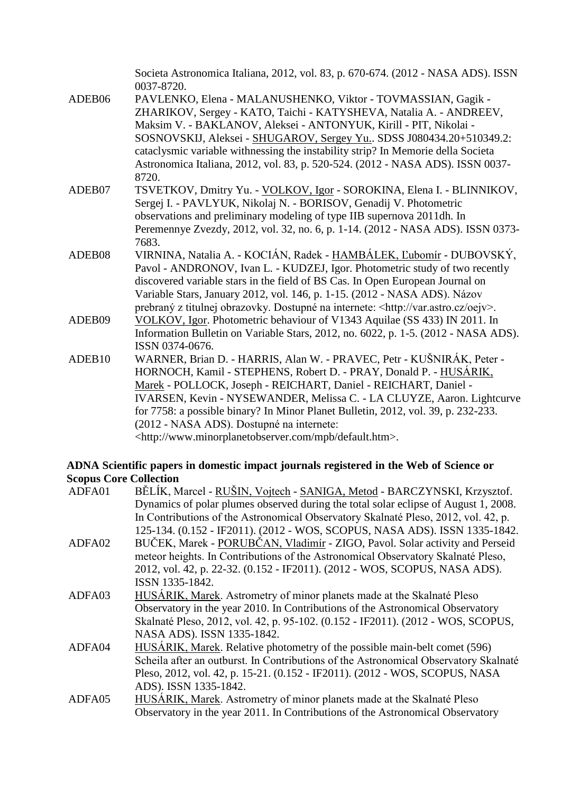|        | Societa Astronomica Italiana, 2012, vol. 83, p. 670-674. (2012 - NASA ADS). ISSN<br>0037-8720. |
|--------|------------------------------------------------------------------------------------------------|
| ADEB06 | PAVLENKO, Elena - MALANUSHENKO, Viktor - TOVMASSIAN, Gagik -                                   |
|        | ZHARIKOV, Sergey - KATO, Taichi - KATYSHEVA, Natalia A. - ANDREEV,                             |
|        | Maksim V. - BAKLANOV, Aleksei - ANTONYUK, Kirill - PIT, Nikolai -                              |
|        | SOSNOVSKIJ, Aleksei - SHUGAROV, Sergey Yu. SDSS J080434.20+510349.2:                           |
|        | cataclysmic variable withnessing the instability strip? In Memorie della Societa               |
|        | Astronomica Italiana, 2012, vol. 83, p. 520-524. (2012 - NASA ADS). ISSN 0037-                 |
|        | 8720.                                                                                          |
| ADEB07 | TSVETKOV, Dmitry Yu. - VOLKOV, Igor - SOROKINA, Elena I. - BLINNIKOV,                          |
|        | Sergej I. - PAVLYUK, Nikolaj N. - BORISOV, Genadij V. Photometric                              |
|        | observations and preliminary modeling of type IIB supernova 2011dh. In                         |
|        | Peremennye Zvezdy, 2012, vol. 32, no. 6, p. 1-14. (2012 - NASA ADS). ISSN 0373-                |
|        | 7683.                                                                                          |
| ADEB08 | VIRNINA, Natalia A. - KOCIÁN, Radek - HAMBÁLEK, Ľubomír - DUBOVSKÝ,                            |
|        | Pavol - ANDRONOV, Ivan L. - KUDZEJ, Igor. Photometric study of two recently                    |
|        | discovered variable stars in the field of BS Cas. In Open European Journal on                  |
|        | Variable Stars, January 2012, vol. 146, p. 1-15. (2012 - NASA ADS). Názov                      |
|        | prebraný z titulnej obrazovky. Dostupné na internete: <http: oejv="" var.astro.cz="">.</http:> |
| ADEB09 | VOLKOV, Igor. Photometric behaviour of V1343 Aquilae (SS 433) IN 2011. In                      |
|        | Information Bulletin on Variable Stars, 2012, no. 6022, p. 1-5. (2012 - NASA ADS).             |
|        | ISSN 0374-0676.                                                                                |
| ADEB10 | WARNER, Brian D. - HARRIS, Alan W. - PRAVEC, Petr - KUŠNIRÁK, Peter -                          |
|        | HORNOCH, Kamil - STEPHENS, Robert D. - PRAY, Donald P. - HUSÁRIK,                              |
|        | Marek - POLLOCK, Joseph - REICHART, Daniel - REICHART, Daniel -                                |
|        | IVARSEN, Kevin - NYSEWANDER, Melissa C. - LA CLUYZE, Aaron. Lightcurve                         |
|        | for 7758: a possible binary? In Minor Planet Bulletin, 2012, vol. 39, p. 232-233.              |
|        | (2012 - NASA ADS). Dostupné na internete:                                                      |
|        | <http: default.htm="" mpb="" www.minorplanetobserver.com="">.</http:>                          |

#### **ADNA Scientific papers in domestic impact journals registered in the Web of Science or Scopus Core Collection**

| ADFA01 | BĚLÍK, Marcel - RUŠIN, Vojtech - SANIGA, Metod - BARCZYNSKI, Krzysztof.              |
|--------|--------------------------------------------------------------------------------------|
|        | Dynamics of polar plumes observed during the total solar eclipse of August 1, 2008.  |
|        | In Contributions of the Astronomical Observatory Skalnaté Pleso, 2012, vol. 42, p.   |
|        | 125-134. (0.152 - IF2011). (2012 - WOS, SCOPUS, NASA ADS). ISSN 1335-1842.           |
| ADFA02 | BUČEK, Marek - PORUBČAN, Vladimír - ZIGO, Pavol. Solar activity and Perseid          |
|        | meteor heights. In Contributions of the Astronomical Observatory Skalnaté Pleso,     |
|        | 2012, vol. 42, p. 22-32. (0.152 - IF2011). (2012 - WOS, SCOPUS, NASA ADS).           |
|        | ISSN 1335-1842.                                                                      |
| ADFA03 | HUSÁRIK, Marek. Astrometry of minor planets made at the Skalnaté Pleso               |
|        | Observatory in the year 2010. In Contributions of the Astronomical Observatory       |
|        | Skalnaté Pleso, 2012, vol. 42, p. 95-102. (0.152 - IF2011). (2012 - WOS, SCOPUS,     |
|        | NASA ADS). ISSN 1335-1842.                                                           |
| ADFA04 | HUSÁRIK, Marek. Relative photometry of the possible main-belt comet (596)            |
|        | Scheila after an outburst. In Contributions of the Astronomical Observatory Skalnaté |
|        | Pleso, 2012, vol. 42, p. 15-21. (0.152 - IF2011). (2012 - WOS, SCOPUS, NASA          |
|        | ADS). ISSN 1335-1842.                                                                |
| ADFA05 | HUSÁRIK, Marek. Astrometry of minor planets made at the Skalnaté Pleso               |
|        | Observatory in the year 2011. In Contributions of the Astronomical Observatory       |
|        |                                                                                      |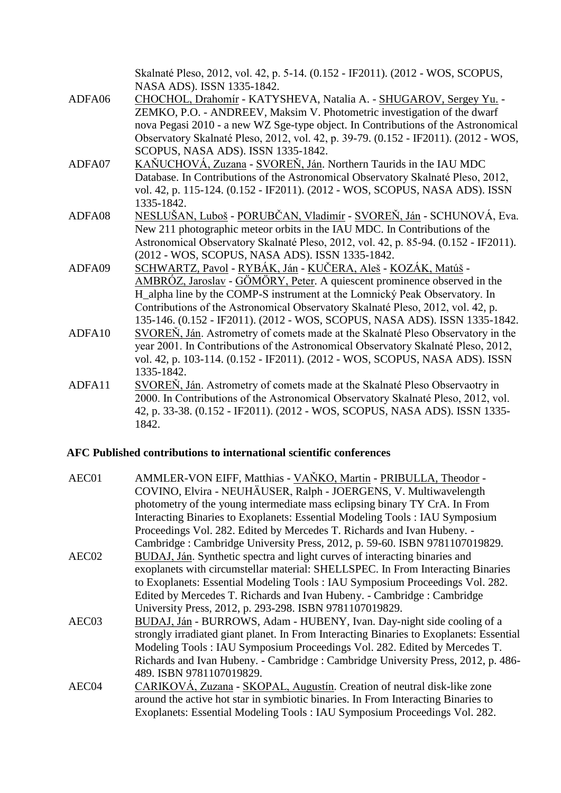|        | Skalnaté Pleso, 2012, vol. 42, p. 5-14. (0.152 - IF2011). (2012 - WOS, SCOPUS,<br>NASA ADS). ISSN 1335-1842. |
|--------|--------------------------------------------------------------------------------------------------------------|
| ADFA06 | CHOCHOL, Drahomír - KATYSHEVA, Natalia A. - SHUGAROV, Sergey Yu. -                                           |
|        | ZEMKO, P.O. - ANDREEV, Maksim V. Photometric investigation of the dwarf                                      |
|        | nova Pegasi 2010 - a new WZ Sge-type object. In Contributions of the Astronomical                            |
|        | Observatory Skalnaté Pleso, 2012, vol. 42, p. 39-79. (0.152 - IF2011). (2012 - WOS,                          |
|        | SCOPUS, NASA ADS). ISSN 1335-1842.                                                                           |
| ADFA07 | KAŇUCHOVÁ, Zuzana - SVOREŇ, Ján. Northern Taurids in the IAU MDC                                             |
|        | Database. In Contributions of the Astronomical Observatory Skalnaté Pleso, 2012,                             |
|        | vol. 42, p. 115-124. (0.152 - IF2011). (2012 - WOS, SCOPUS, NASA ADS). ISSN                                  |
|        | 1335-1842.                                                                                                   |
| ADFA08 | NESLUŠAN, Luboš - PORUBČAN, Vladimír - SVOREŇ, Ján - SCHUNOVÁ, Eva.                                          |
|        | New 211 photographic meteor orbits in the IAU MDC. In Contributions of the                                   |
|        | Astronomical Observatory Skalnaté Pleso, 2012, vol. 42, p. 85-94. (0.152 - IF2011).                          |
|        | (2012 - WOS, SCOPUS, NASA ADS). ISSN 1335-1842.                                                              |
| ADFA09 | <u> SCHWARTZ, Pavol</u> - RYBÁK, Ján - KUČERA, Aleš - KOZÁK, Matúš -                                         |
|        | AMBRÓZ, Jaroslav - GÖMÖRY, Peter. A quiescent prominence observed in the                                     |
|        | H_alpha line by the COMP-S instrument at the Lomnický Peak Observatory. In                                   |
|        | Contributions of the Astronomical Observatory Skalnaté Pleso, 2012, vol. 42, p.                              |
|        | 135-146. (0.152 - IF2011). (2012 - WOS, SCOPUS, NASA ADS). ISSN 1335-1842.                                   |
| ADFA10 | SVOREŇ, Ján. Astrometry of comets made at the Skalnaté Pleso Observatory in the                              |
|        | year 2001. In Contributions of the Astronomical Observatory Skalnaté Pleso, 2012,                            |
|        | vol. 42, p. 103-114. (0.152 - IF2011). (2012 - WOS, SCOPUS, NASA ADS). ISSN                                  |
|        | 1335-1842.                                                                                                   |
| ADFA11 | SVOREŇ, Ján. Astrometry of comets made at the Skalnaté Pleso Observaotry in                                  |
|        | 2000. In Contributions of the Astronomical Observatory Skalnaté Pleso, 2012, vol.                            |
|        | 42, p. 33-38. (0.152 - IF2011). (2012 - WOS, SCOPUS, NASA ADS). ISSN 1335-                                   |
|        | 1842.                                                                                                        |

## **AFC Published contributions to international scientific conferences**

| AEC01             | AMMLER-VON EIFF, Matthias - VAŇKO, Martin - PRIBULLA, Theodor -<br>COVINO, Elvira - NEUHÄUSER, Ralph - JOERGENS, V. Multiwavelength |
|-------------------|-------------------------------------------------------------------------------------------------------------------------------------|
|                   | photometry of the young intermediate mass eclipsing binary TY CrA. In From                                                          |
|                   | Interacting Binaries to Exoplanets: Essential Modeling Tools: IAU Symposium                                                         |
|                   | Proceedings Vol. 282. Edited by Mercedes T. Richards and Ivan Hubeny. -                                                             |
|                   | Cambridge: Cambridge University Press, 2012, p. 59-60. ISBN 9781107019829.                                                          |
| AEC <sub>02</sub> | BUDAJ, Ján. Synthetic spectra and light curves of interacting binaries and                                                          |
|                   | exoplanets with circumstellar material: SHELLSPEC. In From Interacting Binaries                                                     |
|                   | to Exoplanets: Essential Modeling Tools: IAU Symposium Proceedings Vol. 282.                                                        |
|                   | Edited by Mercedes T. Richards and Ivan Hubeny. - Cambridge : Cambridge                                                             |
|                   | University Press, 2012, p. 293-298. ISBN 9781107019829.                                                                             |
| AEC03             | BUDAJ, Ján - BURROWS, Adam - HUBENY, Ivan. Day-night side cooling of a                                                              |
|                   | strongly irradiated giant planet. In From Interacting Binaries to Exoplanets: Essential                                             |
|                   | Modeling Tools: IAU Symposium Proceedings Vol. 282. Edited by Mercedes T.                                                           |
|                   | Richards and Ivan Hubeny. - Cambridge: Cambridge University Press, 2012, p. 486-                                                    |
|                   | 489. ISBN 9781107019829.                                                                                                            |
| AEC04             | CARIKOVÁ, Zuzana - SKOPAL, Augustín. Creation of neutral disk-like zone                                                             |
|                   | around the active hot star in symbiotic binaries. In From Interacting Binaries to                                                   |
|                   | Exoplanets: Essential Modeling Tools: IAU Symposium Proceedings Vol. 282.                                                           |
|                   |                                                                                                                                     |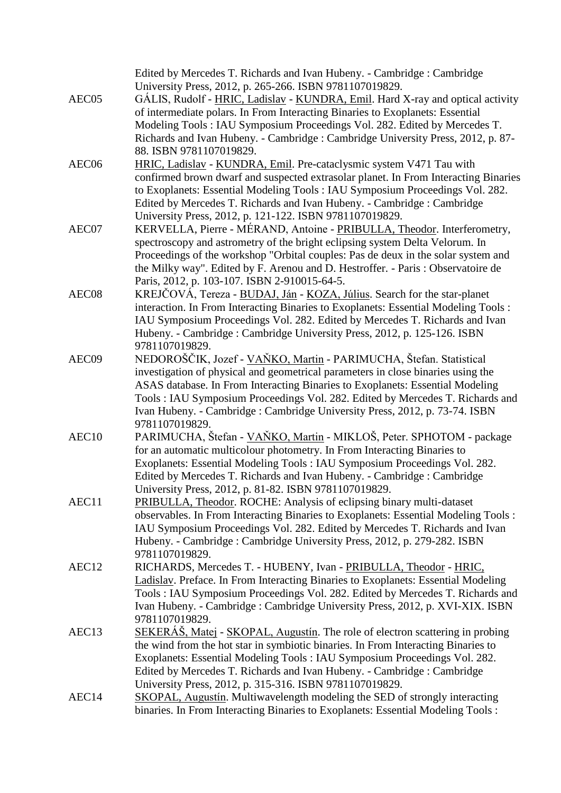|                   | Edited by Mercedes T. Richards and Ivan Hubeny. - Cambridge : Cambridge                                                                                            |
|-------------------|--------------------------------------------------------------------------------------------------------------------------------------------------------------------|
|                   | University Press, 2012, p. 265-266. ISBN 9781107019829.                                                                                                            |
| AEC05             | GÁLIS, Rudolf - HRIC, Ladislav - KUNDRA, Emil. Hard X-ray and optical activity                                                                                     |
|                   | of intermediate polars. In From Interacting Binaries to Exoplanets: Essential                                                                                      |
|                   | Modeling Tools: IAU Symposium Proceedings Vol. 282. Edited by Mercedes T.                                                                                          |
|                   | Richards and Ivan Hubeny. - Cambridge: Cambridge University Press, 2012, p. 87-                                                                                    |
|                   | 88. ISBN 9781107019829.                                                                                                                                            |
| AEC06             | HRIC, Ladislav - KUNDRA, Emil. Pre-cataclysmic system V471 Tau with                                                                                                |
|                   | confirmed brown dwarf and suspected extrasolar planet. In From Interacting Binaries                                                                                |
|                   | to Exoplanets: Essential Modeling Tools: IAU Symposium Proceedings Vol. 282.                                                                                       |
|                   | Edited by Mercedes T. Richards and Ivan Hubeny. - Cambridge : Cambridge                                                                                            |
|                   | University Press, 2012, p. 121-122. ISBN 9781107019829.                                                                                                            |
| AEC07             | KERVELLA, Pierre - MÉRAND, Antoine - PRIBULLA, Theodor. Interferometry,                                                                                            |
|                   | spectroscopy and astrometry of the bright eclipsing system Delta Velorum. In                                                                                       |
|                   | Proceedings of the workshop "Orbital couples: Pas de deux in the solar system and                                                                                  |
|                   | the Milky way". Edited by F. Arenou and D. Hestroffer. - Paris: Observatoire de                                                                                    |
| AEC <sub>08</sub> | Paris, 2012, p. 103-107. ISBN 2-910015-64-5.<br>KREJČOVÁ, Tereza - BUDAJ, Ján - KOZA, Július. Search for the star-planet                                           |
|                   | interaction. In From Interacting Binaries to Exoplanets: Essential Modeling Tools:                                                                                 |
|                   | IAU Symposium Proceedings Vol. 282. Edited by Mercedes T. Richards and Ivan                                                                                        |
|                   | Hubeny. - Cambridge: Cambridge University Press, 2012, p. 125-126. ISBN                                                                                            |
|                   | 9781107019829.                                                                                                                                                     |
| AEC09             | NEDOROŠČIK, Jozef - VAŇKO, Martin - PARIMUCHA, Štefan. Statistical                                                                                                 |
|                   | investigation of physical and geometrical parameters in close binaries using the                                                                                   |
|                   | ASAS database. In From Interacting Binaries to Exoplanets: Essential Modeling                                                                                      |
|                   | Tools: IAU Symposium Proceedings Vol. 282. Edited by Mercedes T. Richards and                                                                                      |
|                   | Ivan Hubeny. - Cambridge : Cambridge University Press, 2012, p. 73-74. ISBN                                                                                        |
|                   | 9781107019829.                                                                                                                                                     |
| AEC10             | PARIMUCHA, Štefan - VAŇKO, Martin - MIKLOŠ, Peter. SPHOTOM - package                                                                                               |
|                   | for an automatic multicolour photometry. In From Interacting Binaries to                                                                                           |
|                   | Exoplanets: Essential Modeling Tools: IAU Symposium Proceedings Vol. 282.                                                                                          |
|                   | Edited by Mercedes T. Richards and Ivan Hubeny. - Cambridge : Cambridge                                                                                            |
|                   | University Press, 2012, p. 81-82. ISBN 9781107019829                                                                                                               |
| AEC11             | PRIBULLA, Theodor. ROCHE: Analysis of eclipsing binary multi-dataset                                                                                               |
|                   | observables. In From Interacting Binaries to Exoplanets: Essential Modeling Tools :                                                                                |
|                   | IAU Symposium Proceedings Vol. 282. Edited by Mercedes T. Richards and Ivan                                                                                        |
|                   | Hubeny. - Cambridge: Cambridge University Press, 2012, p. 279-282. ISBN                                                                                            |
|                   | 9781107019829.                                                                                                                                                     |
| AEC12             | RICHARDS, Mercedes T. - HUBENY, Ivan - PRIBULLA, Theodor - HRIC,                                                                                                   |
|                   | Ladislav. Preface. In From Interacting Binaries to Exoplanets: Essential Modeling<br>Tools: IAU Symposium Proceedings Vol. 282. Edited by Mercedes T. Richards and |
|                   | Ivan Hubeny. - Cambridge : Cambridge University Press, 2012, p. XVI-XIX. ISBN                                                                                      |
|                   | 9781107019829.                                                                                                                                                     |
| AEC13             | SEKERÁŠ, Matej - SKOPAL, Augustín. The role of electron scattering in probing                                                                                      |
|                   | the wind from the hot star in symbiotic binaries. In From Interacting Binaries to                                                                                  |
|                   | Exoplanets: Essential Modeling Tools: IAU Symposium Proceedings Vol. 282.                                                                                          |
|                   | Edited by Mercedes T. Richards and Ivan Hubeny. - Cambridge : Cambridge                                                                                            |
|                   | University Press, 2012, p. 315-316. ISBN 9781107019829.                                                                                                            |
| AEC14             | <b>SKOPAL, Augustin.</b> Multiwavelength modeling the SED of strongly interacting                                                                                  |
|                   | binaries. In From Interacting Binaries to Exoplanets: Essential Modeling Tools:                                                                                    |